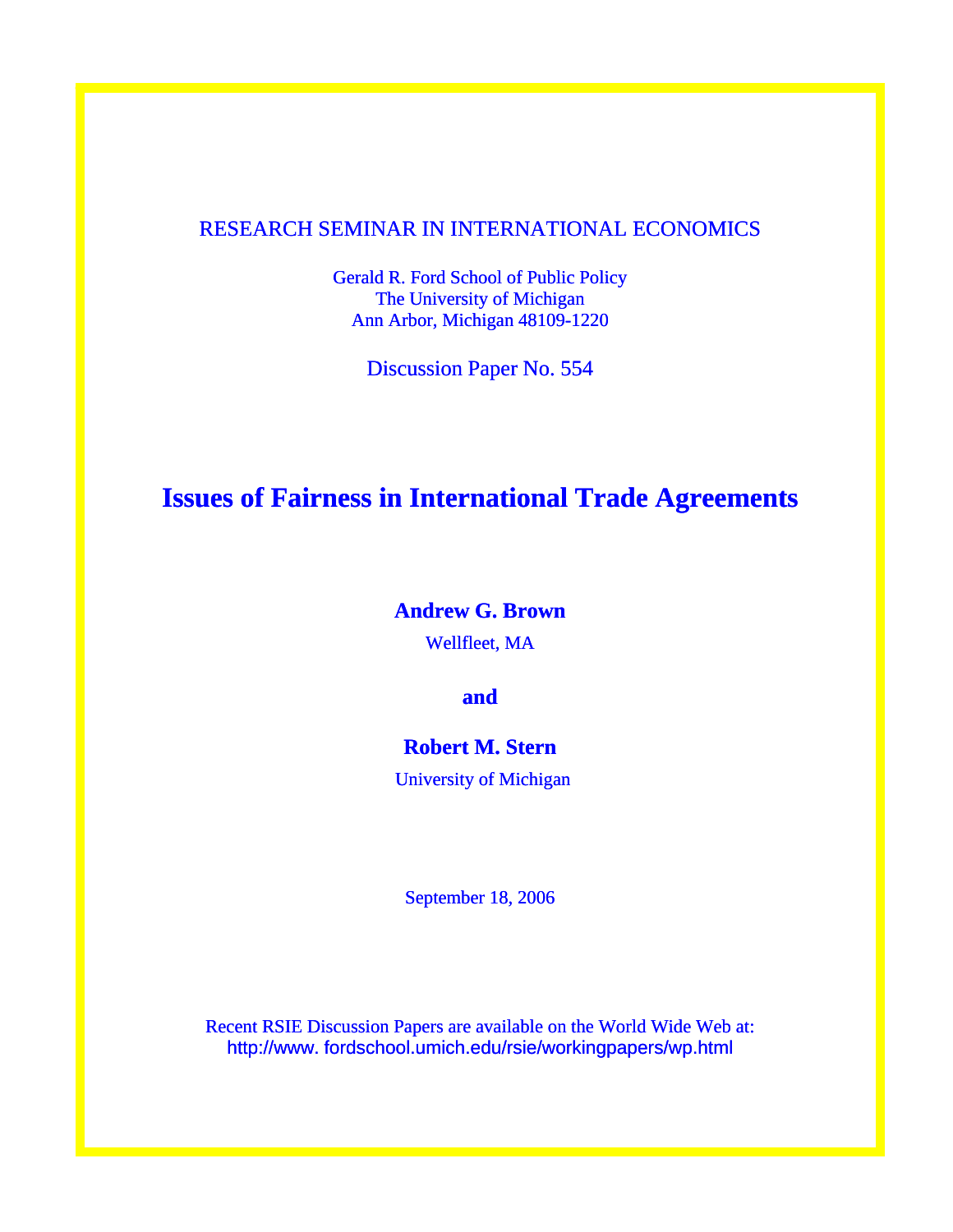## RESEARCH SEMINAR IN INTERNATIONAL ECONOMICS

Gerald R. Ford School of Public Policy The University of Michigan Ann Arbor, Michigan 48109-1220

Discussion Paper No. 554

# **Issues of Fairness in International Trade Agreements**

## **Andrew G. Brown**

Wellfleet, MA

## **and**

## **Robert M. Stern**

University of Michigan

September 18, 2006

Recent RSIE Discussion Papers are available on the World Wide Web at: http://www. fordschool.umich.edu/rsie/workingpapers/wp.html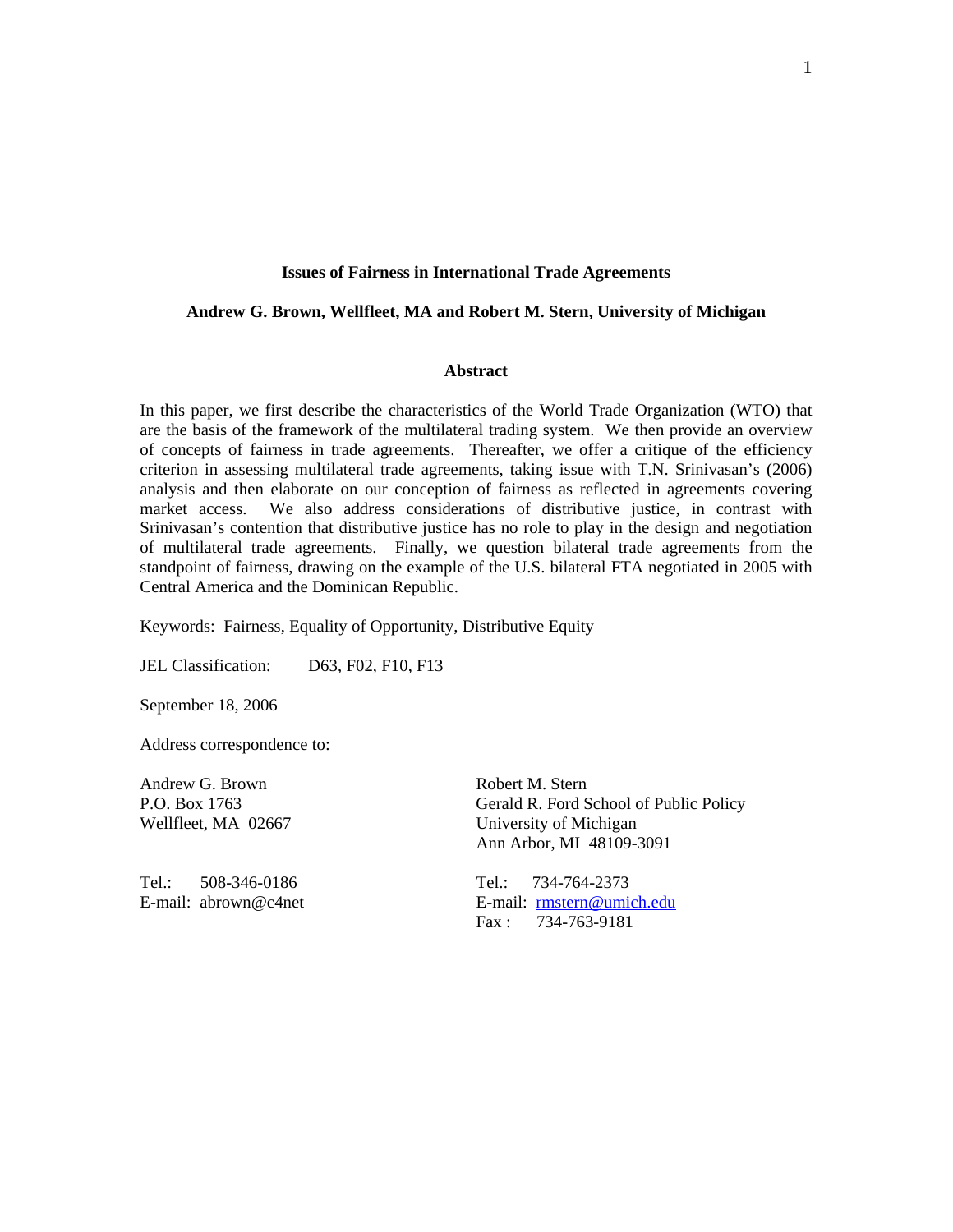### **Issues of Fairness in International Trade Agreements**

#### **Andrew G. Brown, Wellfleet, MA and Robert M. Stern, University of Michigan**

#### **Abstract**

In this paper, we first describe the characteristics of the World Trade Organization (WTO) that are the basis of the framework of the multilateral trading system. We then provide an overview of concepts of fairness in trade agreements. Thereafter, we offer a critique of the efficiency criterion in assessing multilateral trade agreements, taking issue with T.N. Srinivasan's (2006) analysis and then elaborate on our conception of fairness as reflected in agreements covering market access. We also address considerations of distributive justice, in contrast with Srinivasan's contention that distributive justice has no role to play in the design and negotiation of multilateral trade agreements. Finally, we question bilateral trade agreements from the standpoint of fairness, drawing on the example of the U.S. bilateral FTA negotiated in 2005 with Central America and the Dominican Republic.

Keywords: Fairness, Equality of Opportunity, Distributive Equity

JEL Classification: D63, F02, F10, F13

September 18, 2006

Address correspondence to:

Andrew G. Brown Robert M. Stern

P.O. Box 1763 Gerald R. Ford School of Public Policy Wellfleet, MA 02667 University of Michigan Ann Arbor, MI 48109-3091

Tel.: 508-346-0186 Tel.: 734-764-2373 E-mail: abrown@c4net E-mail: [rmstern@umich.edu](mailto:rmstern@umich.edu) Fax : 734-763-9181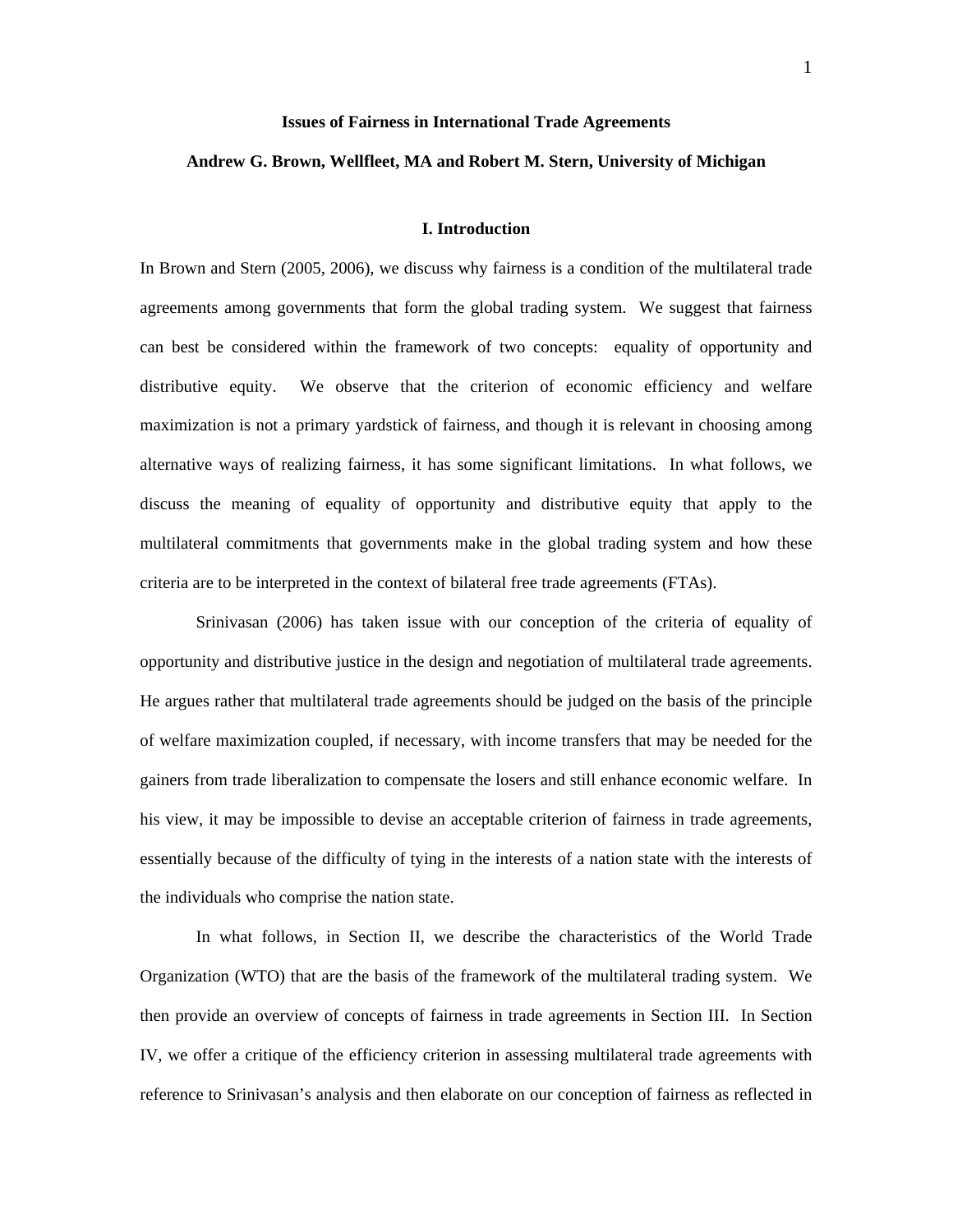### **Issues of Fairness in International Trade Agreements**

#### **Andrew G. Brown, Wellfleet, MA and Robert M. Stern, University of Michigan**

#### **I. Introduction**

In Brown and Stern (2005, 2006), we discuss why fairness is a condition of the multilateral trade agreements among governments that form the global trading system. We suggest that fairness can best be considered within the framework of two concepts: equality of opportunity and distributive equity. We observe that the criterion of economic efficiency and welfare maximization is not a primary yardstick of fairness, and though it is relevant in choosing among alternative ways of realizing fairness, it has some significant limitations. In what follows, we discuss the meaning of equality of opportunity and distributive equity that apply to the multilateral commitments that governments make in the global trading system and how these criteria are to be interpreted in the context of bilateral free trade agreements (FTAs).

 Srinivasan (2006) has taken issue with our conception of the criteria of equality of opportunity and distributive justice in the design and negotiation of multilateral trade agreements. He argues rather that multilateral trade agreements should be judged on the basis of the principle of welfare maximization coupled, if necessary, with income transfers that may be needed for the gainers from trade liberalization to compensate the losers and still enhance economic welfare. In his view, it may be impossible to devise an acceptable criterion of fairness in trade agreements, essentially because of the difficulty of tying in the interests of a nation state with the interests of the individuals who comprise the nation state.

In what follows, in Section II, we describe the characteristics of the World Trade Organization (WTO) that are the basis of the framework of the multilateral trading system. We then provide an overview of concepts of fairness in trade agreements in Section III. In Section IV, we offer a critique of the efficiency criterion in assessing multilateral trade agreements with reference to Srinivasan's analysis and then elaborate on our conception of fairness as reflected in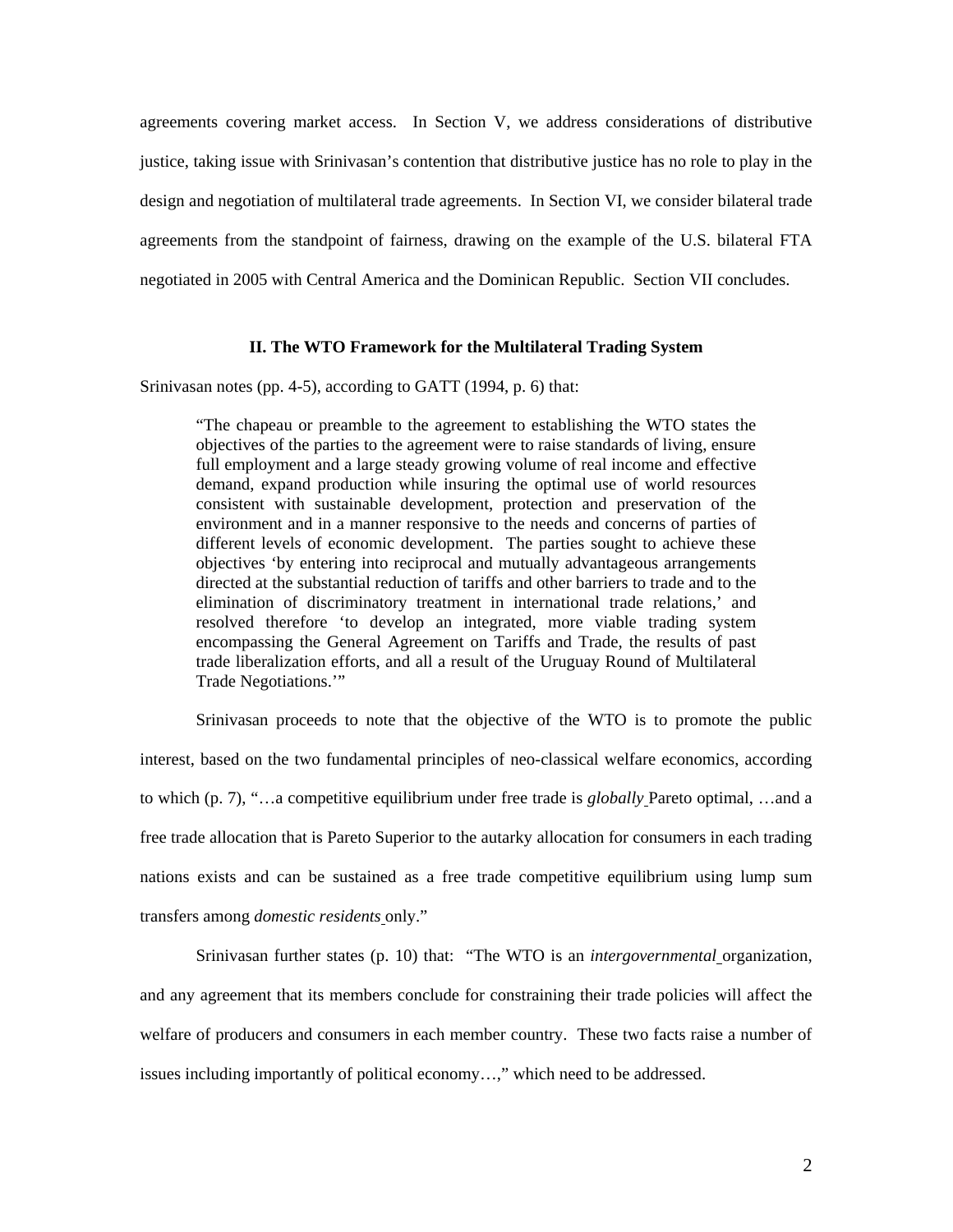agreements covering market access. In Section V, we address considerations of distributive justice, taking issue with Srinivasan's contention that distributive justice has no role to play in the design and negotiation of multilateral trade agreements. In Section VI, we consider bilateral trade agreements from the standpoint of fairness, drawing on the example of the U.S. bilateral FTA negotiated in 2005 with Central America and the Dominican Republic. Section VII concludes.

## **II. The WTO Framework for the Multilateral Trading System**

Srinivasan notes (pp. 4-5), according to GATT (1994, p. 6) that:

"The chapeau or preamble to the agreement to establishing the WTO states the objectives of the parties to the agreement were to raise standards of living, ensure full employment and a large steady growing volume of real income and effective demand, expand production while insuring the optimal use of world resources consistent with sustainable development, protection and preservation of the environment and in a manner responsive to the needs and concerns of parties of different levels of economic development. The parties sought to achieve these objectives 'by entering into reciprocal and mutually advantageous arrangements directed at the substantial reduction of tariffs and other barriers to trade and to the elimination of discriminatory treatment in international trade relations,' and resolved therefore 'to develop an integrated, more viable trading system encompassing the General Agreement on Tariffs and Trade, the results of past trade liberalization efforts, and all a result of the Uruguay Round of Multilateral Trade Negotiations.'"

Srinivasan proceeds to note that the objective of the WTO is to promote the public interest, based on the two fundamental principles of neo-classical welfare economics, according to which (p. 7), "…a competitive equilibrium under free trade is *globally* Pareto optimal, …and a free trade allocation that is Pareto Superior to the autarky allocation for consumers in each trading nations exists and can be sustained as a free trade competitive equilibrium using lump sum transfers among *domestic residents* only."

Srinivasan further states (p. 10) that: "The WTO is an *intergovernmental* organization, and any agreement that its members conclude for constraining their trade policies will affect the welfare of producers and consumers in each member country. These two facts raise a number of issues including importantly of political economy…," which need to be addressed.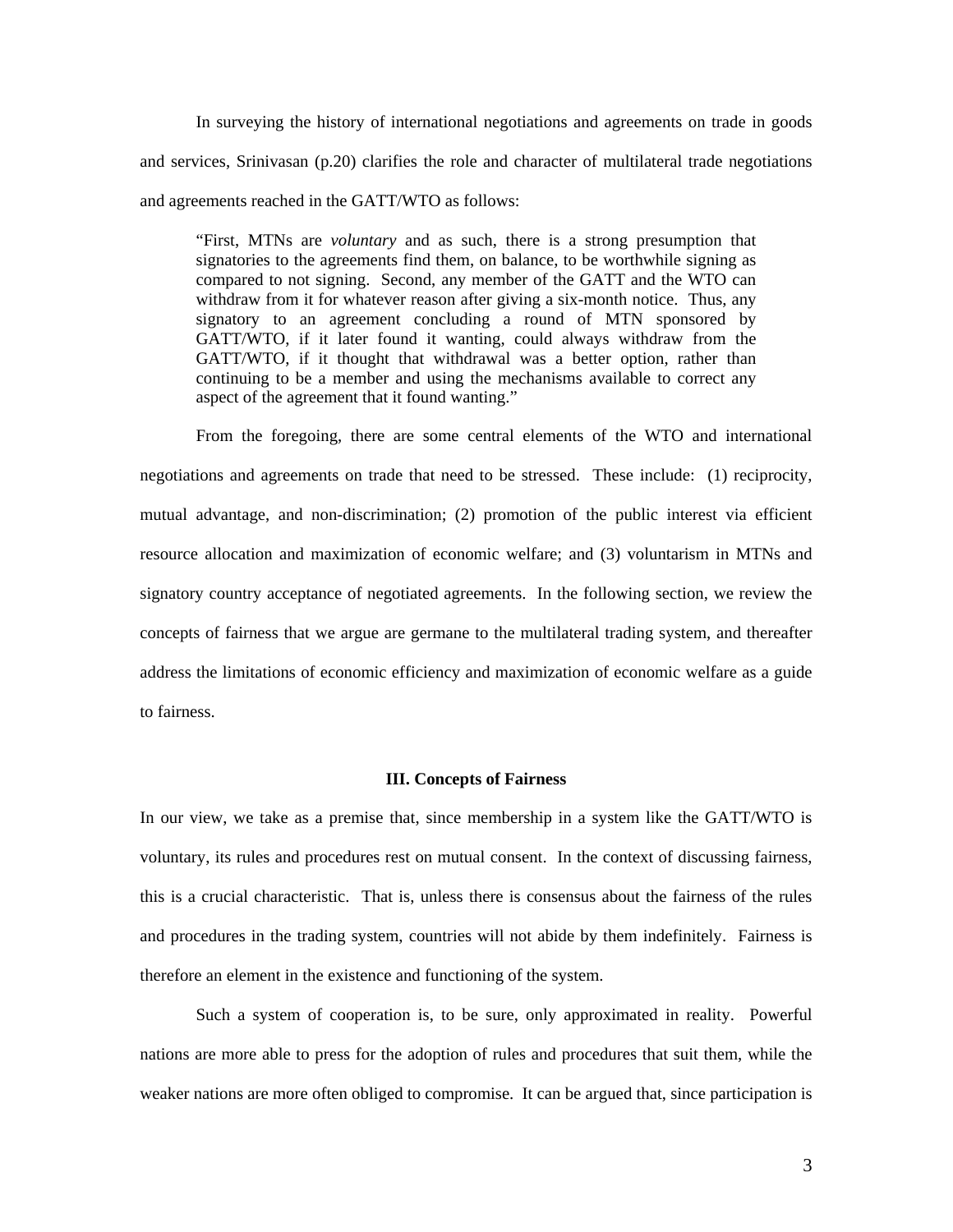In surveying the history of international negotiations and agreements on trade in goods and services, Srinivasan (p.20) clarifies the role and character of multilateral trade negotiations and agreements reached in the GATT/WTO as follows:

"First, MTNs are *voluntary* and as such, there is a strong presumption that signatories to the agreements find them, on balance, to be worthwhile signing as compared to not signing. Second, any member of the GATT and the WTO can withdraw from it for whatever reason after giving a six-month notice. Thus, any signatory to an agreement concluding a round of MTN sponsored by GATT/WTO, if it later found it wanting, could always withdraw from the GATT/WTO, if it thought that withdrawal was a better option, rather than continuing to be a member and using the mechanisms available to correct any aspect of the agreement that it found wanting."

From the foregoing, there are some central elements of the WTO and international negotiations and agreements on trade that need to be stressed. These include: (1) reciprocity, mutual advantage, and non-discrimination; (2) promotion of the public interest via efficient resource allocation and maximization of economic welfare; and (3) voluntarism in MTNs and signatory country acceptance of negotiated agreements. In the following section, we review the concepts of fairness that we argue are germane to the multilateral trading system, and thereafter address the limitations of economic efficiency and maximization of economic welfare as a guide to fairness.

## **III. Concepts of Fairness**

In our view, we take as a premise that, since membership in a system like the GATT/WTO is voluntary, its rules and procedures rest on mutual consent. In the context of discussing fairness, this is a crucial characteristic. That is, unless there is consensus about the fairness of the rules and procedures in the trading system, countries will not abide by them indefinitely. Fairness is therefore an element in the existence and functioning of the system.

Such a system of cooperation is, to be sure, only approximated in reality. Powerful nations are more able to press for the adoption of rules and procedures that suit them, while the weaker nations are more often obliged to compromise. It can be argued that, since participation is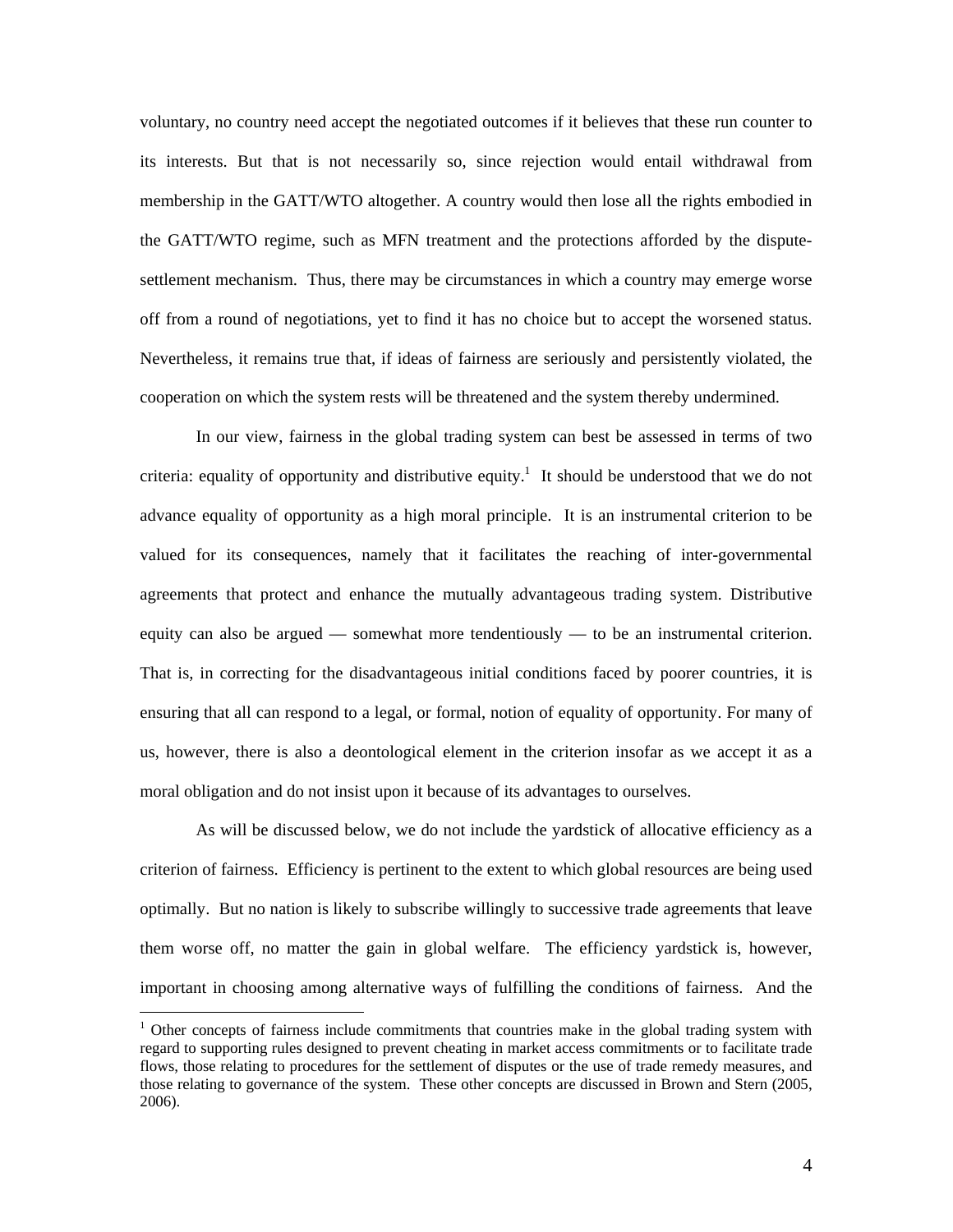voluntary, no country need accept the negotiated outcomes if it believes that these run counter to its interests. But that is not necessarily so, since rejection would entail withdrawal from membership in the GATT/WTO altogether. A country would then lose all the rights embodied in the GATT/WTO regime, such as MFN treatment and the protections afforded by the disputesettlement mechanism. Thus, there may be circumstances in which a country may emerge worse off from a round of negotiations, yet to find it has no choice but to accept the worsened status. Nevertheless, it remains true that, if ideas of fairness are seriously and persistently violated, the cooperation on which the system rests will be threatened and the system thereby undermined.

In our view, fairness in the global trading system can best be assessed in terms of two criteria:equality of opportunity and distributive equity.<sup>1</sup> It should be understood that we do not advance equality of opportunity as a high moral principle. It is an instrumental criterion to be valued for its consequences, namely that it facilitates the reaching of inter-governmental agreements that protect and enhance the mutually advantageous trading system. Distributive equity can also be argued — somewhat more tendentiously — to be an instrumental criterion. That is, in correcting for the disadvantageous initial conditions faced by poorer countries, it is ensuring that all can respond to a legal, or formal, notion of equality of opportunity. For many of us, however, there is also a deontological element in the criterion insofar as we accept it as a moral obligation and do not insist upon it because of its advantages to ourselves.

As will be discussed below, we do not include the yardstick of allocative efficiency as a criterion of fairness. Efficiency is pertinent to the extent to which global resources are being used optimally. But no nation is likely to subscribe willingly to successive trade agreements that leave them worse off, no matter the gain in global welfare. The efficiency yardstick is, however, important in choosing among alternative ways of fulfilling the conditions of fairness. And the

 $\overline{a}$ 

<span id="page-5-0"></span><sup>&</sup>lt;sup>1</sup> Other concepts of fairness include commitments that countries make in the global trading system with regard to supporting rules designed to prevent cheating in market access commitments or to facilitate trade flows, those relating to procedures for the settlement of disputes or the use of trade remedy measures, and those relating to governance of the system. These other concepts are discussed in Brown and Stern (2005, 2006).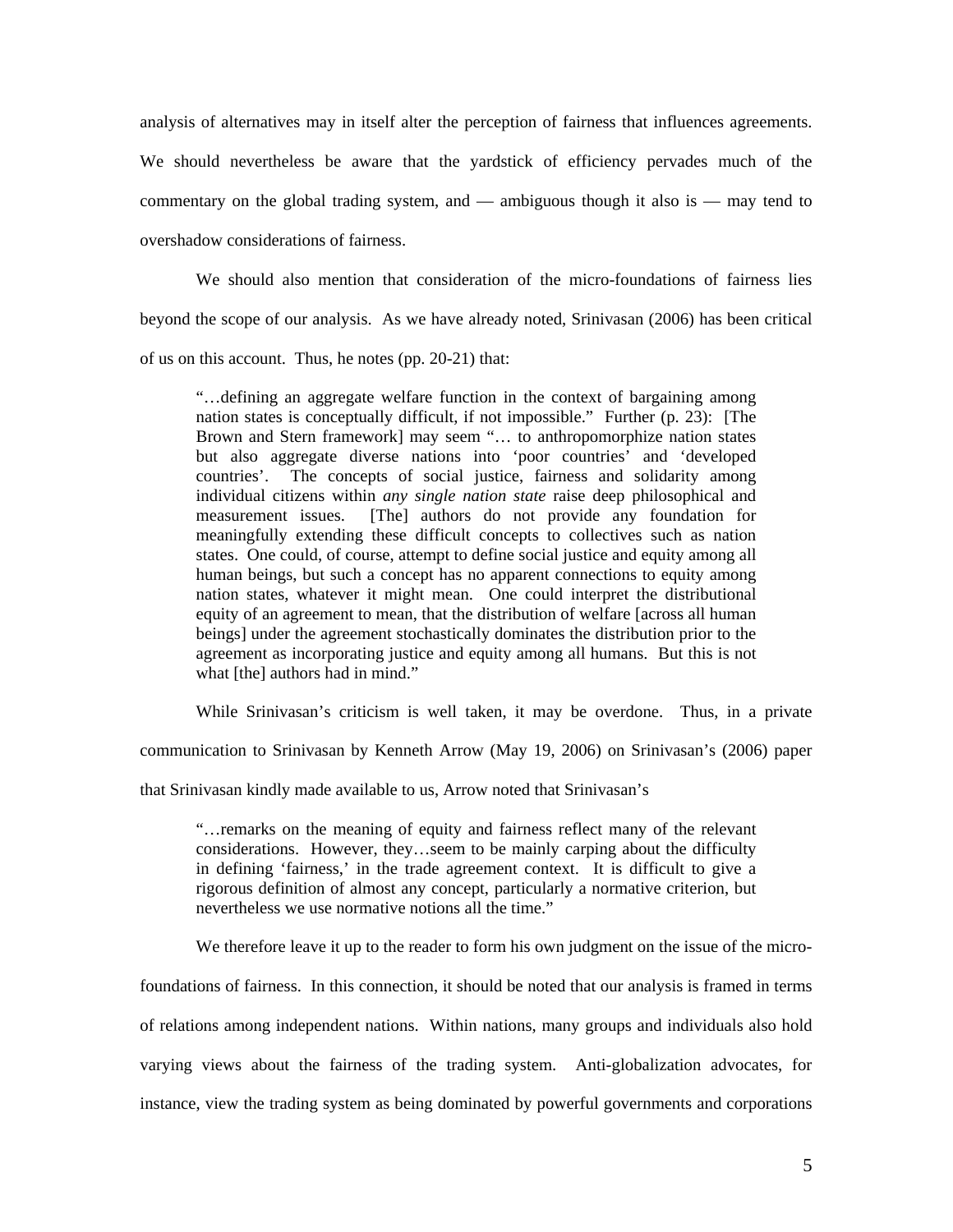analysis of alternatives may in itself alter the perception of fairness that influences agreements. We should nevertheless be aware that the yardstick of efficiency pervades much of the commentary on the global trading system, and — ambiguous though it also is — may tend to overshadow considerations of fairness.

We should also mention that consideration of the micro-foundations of fairness lies beyond the scope of our analysis. As we have already noted, Srinivasan (2006) has been critical of us on this account. Thus, he notes (pp. 20-21) that:

"…defining an aggregate welfare function in the context of bargaining among nation states is conceptually difficult, if not impossible." Further (p. 23): [The Brown and Stern framework] may seem "… to anthropomorphize nation states but also aggregate diverse nations into 'poor countries' and 'developed countries'. The concepts of social justice, fairness and solidarity among individual citizens within *any single nation state* raise deep philosophical and measurement issues. [The] authors do not provide any foundation for meaningfully extending these difficult concepts to collectives such as nation states. One could, of course, attempt to define social justice and equity among all human beings, but such a concept has no apparent connections to equity among nation states, whatever it might mean. One could interpret the distributional equity of an agreement to mean, that the distribution of welfare [across all human beings] under the agreement stochastically dominates the distribution prior to the agreement as incorporating justice and equity among all humans. But this is not what [the] authors had in mind."

While Srinivasan's criticism is well taken, it may be overdone. Thus, in a private

communication to Srinivasan by Kenneth Arrow (May 19, 2006) on Srinivasan's (2006) paper

that Srinivasan kindly made available to us, Arrow noted that Srinivasan's

"…remarks on the meaning of equity and fairness reflect many of the relevant considerations. However, they…seem to be mainly carping about the difficulty in defining 'fairness,' in the trade agreement context. It is difficult to give a rigorous definition of almost any concept, particularly a normative criterion, but nevertheless we use normative notions all the time."

We therefore leave it up to the reader to form his own judgment on the issue of the micro-

foundations of fairness. In this connection, it should be noted that our analysis is framed in terms of relations among independent nations. Within nations, many groups and individuals also hold varying views about the fairness of the trading system. Anti-globalization advocates, for instance, view the trading system as being dominated by powerful governments and corporations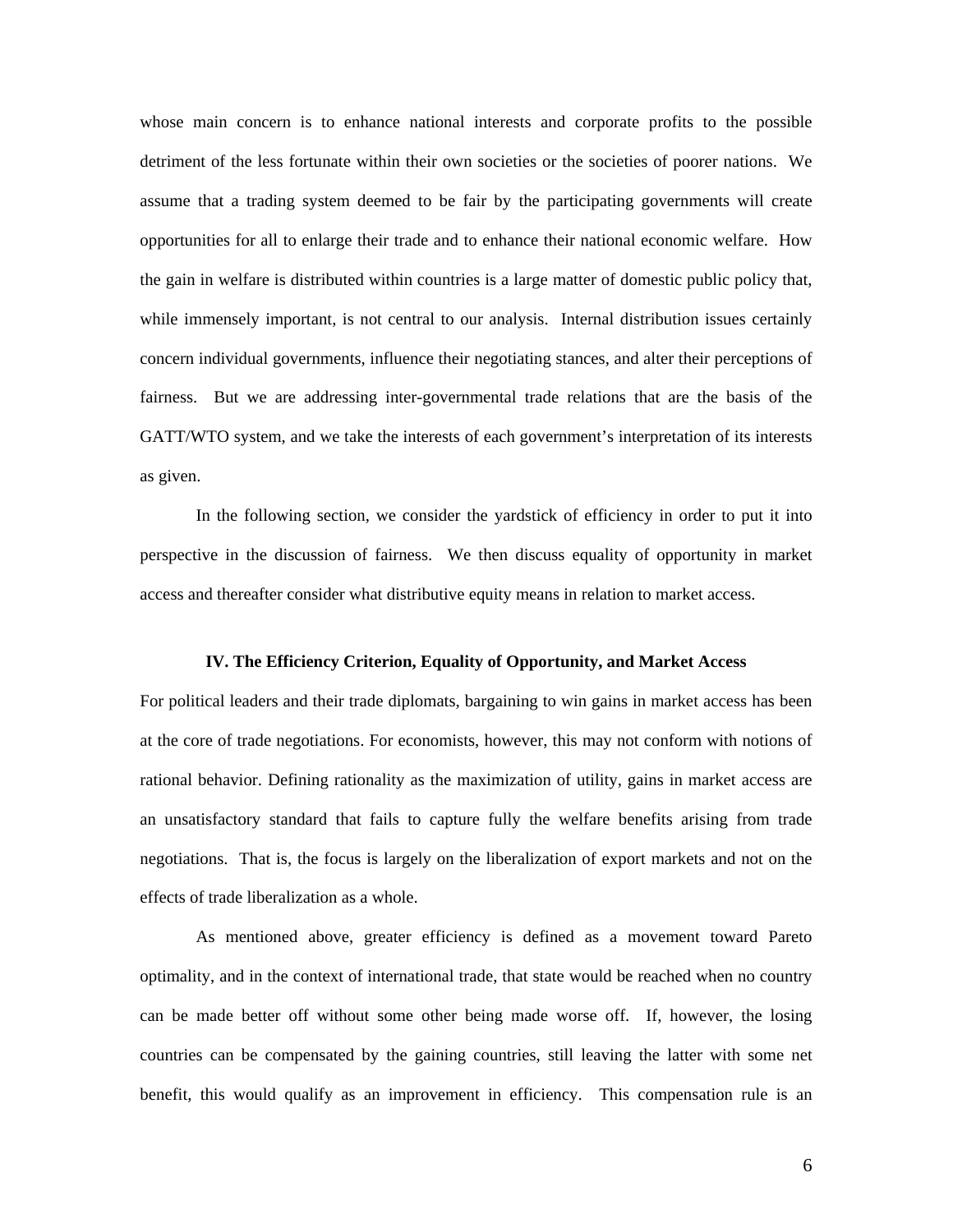whose main concern is to enhance national interests and corporate profits to the possible detriment of the less fortunate within their own societies or the societies of poorer nations. We assume that a trading system deemed to be fair by the participating governments will create opportunities for all to enlarge their trade and to enhance their national economic welfare. How the gain in welfare is distributed within countries is a large matter of domestic public policy that, while immensely important, is not central to our analysis. Internal distribution issues certainly concern individual governments, influence their negotiating stances, and alter their perceptions of fairness. But we are addressing inter-governmental trade relations that are the basis of the GATT/WTO system, and we take the interests of each government's interpretation of its interests as given.

In the following section, we consider the yardstick of efficiency in order to put it into perspective in the discussion of fairness. We then discuss equality of opportunity in market access and thereafter consider what distributive equity means in relation to market access.

#### **IV. The Efficiency Criterion, Equality of Opportunity, and Market Access**

For political leaders and their trade diplomats, bargaining to win gains in market access has been at the core of trade negotiations. For economists, however, this may not conform with notions of rational behavior. Defining rationality as the maximization of utility, gains in market access are an unsatisfactory standard that fails to capture fully the welfare benefits arising from trade negotiations. That is, the focus is largely on the liberalization of export markets and not on the effects of trade liberalization as a whole.

As mentioned above, greater efficiency is defined as a movement toward Pareto optimality, and in the context of international trade, that state would be reached when no country can be made better off without some other being made worse off. If, however, the losing countries can be compensated by the gaining countries, still leaving the latter with some net benefit, this would qualify as an improvement in efficiency. This compensation rule is an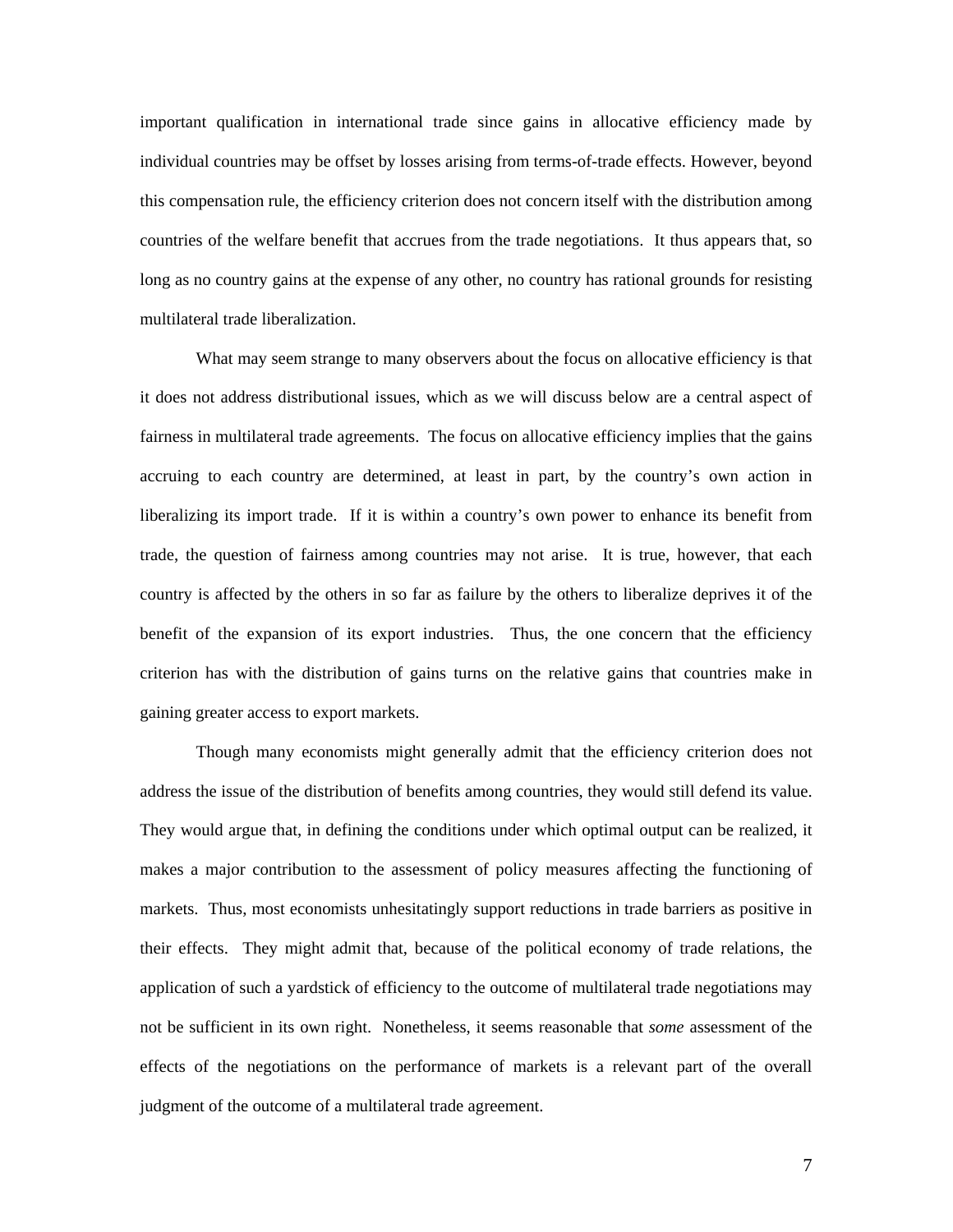important qualification in international trade since gains in allocative efficiency made by individual countries may be offset by losses arising from terms-of-trade effects. However, beyond this compensation rule, the efficiency criterion does not concern itself with the distribution among countries of the welfare benefit that accrues from the trade negotiations. It thus appears that, so long as no country gains at the expense of any other, no country has rational grounds for resisting multilateral trade liberalization.

What may seem strange to many observers about the focus on allocative efficiency is that it does not address distributional issues, which as we will discuss below are a central aspect of fairness in multilateral trade agreements. The focus on allocative efficiency implies that the gains accruing to each country are determined, at least in part, by the country's own action in liberalizing its import trade. If it is within a country's own power to enhance its benefit from trade, the question of fairness among countries may not arise. It is true, however, that each country is affected by the others in so far as failure by the others to liberalize deprives it of the benefit of the expansion of its export industries. Thus, the one concern that the efficiency criterion has with the distribution of gains turns on the relative gains that countries make in gaining greater access to export markets.

Though many economists might generally admit that the efficiency criterion does not address the issue of the distribution of benefits among countries, they would still defend its value. They would argue that, in defining the conditions under which optimal output can be realized, it makes a major contribution to the assessment of policy measures affecting the functioning of markets. Thus, most economists unhesitatingly support reductions in trade barriers as positive in their effects. They might admit that, because of the political economy of trade relations, the application of such a yardstick of efficiency to the outcome of multilateral trade negotiations may not be sufficient in its own right. Nonetheless, it seems reasonable that *some* assessment of the effects of the negotiations on the performance of markets is a relevant part of the overall judgment of the outcome of a multilateral trade agreement.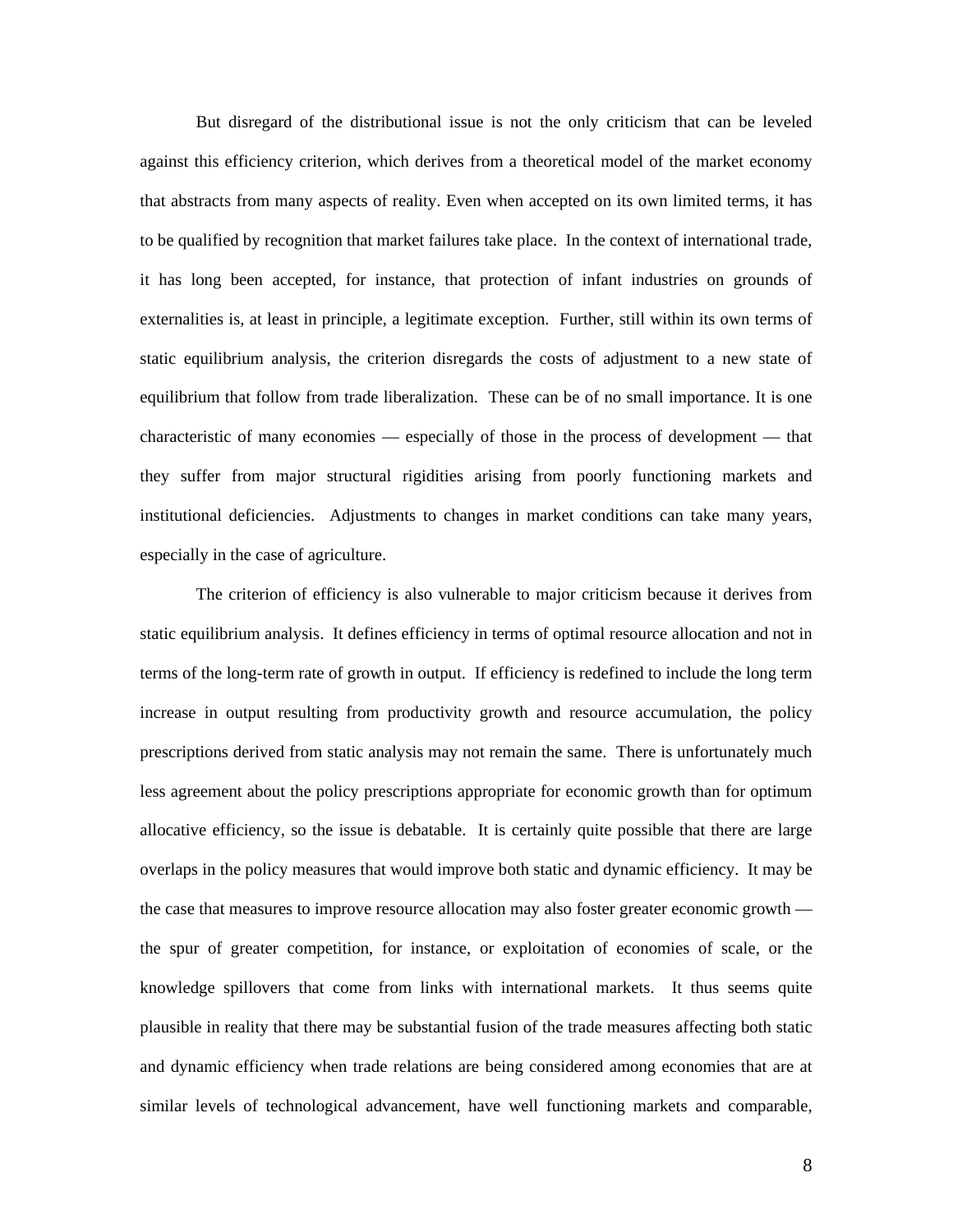But disregard of the distributional issue is not the only criticism that can be leveled against this efficiency criterion, which derives from a theoretical model of the market economy that abstracts from many aspects of reality. Even when accepted on its own limited terms, it has to be qualified by recognition that market failures take place. In the context of international trade, it has long been accepted, for instance, that protection of infant industries on grounds of externalities is, at least in principle, a legitimate exception. Further, still within its own terms of static equilibrium analysis, the criterion disregards the costs of adjustment to a new state of equilibrium that follow from trade liberalization. These can be of no small importance. It is one characteristic of many economies — especially of those in the process of development — that they suffer from major structural rigidities arising from poorly functioning markets and institutional deficiencies. Adjustments to changes in market conditions can take many years, especially in the case of agriculture.

The criterion of efficiency is also vulnerable to major criticism because it derives from static equilibrium analysis. It defines efficiency in terms of optimal resource allocation and not in terms of the long-term rate of growth in output. If efficiency is redefined to include the long term increase in output resulting from productivity growth and resource accumulation, the policy prescriptions derived from static analysis may not remain the same. There is unfortunately much less agreement about the policy prescriptions appropriate for economic growth than for optimum allocative efficiency, so the issue is debatable. It is certainly quite possible that there are large overlaps in the policy measures that would improve both static and dynamic efficiency. It may be the case that measures to improve resource allocation may also foster greater economic growth the spur of greater competition, for instance, or exploitation of economies of scale, or the knowledge spillovers that come from links with international markets. It thus seems quite plausible in reality that there may be substantial fusion of the trade measures affecting both static and dynamic efficiency when trade relations are being considered among economies that are at similar levels of technological advancement, have well functioning markets and comparable,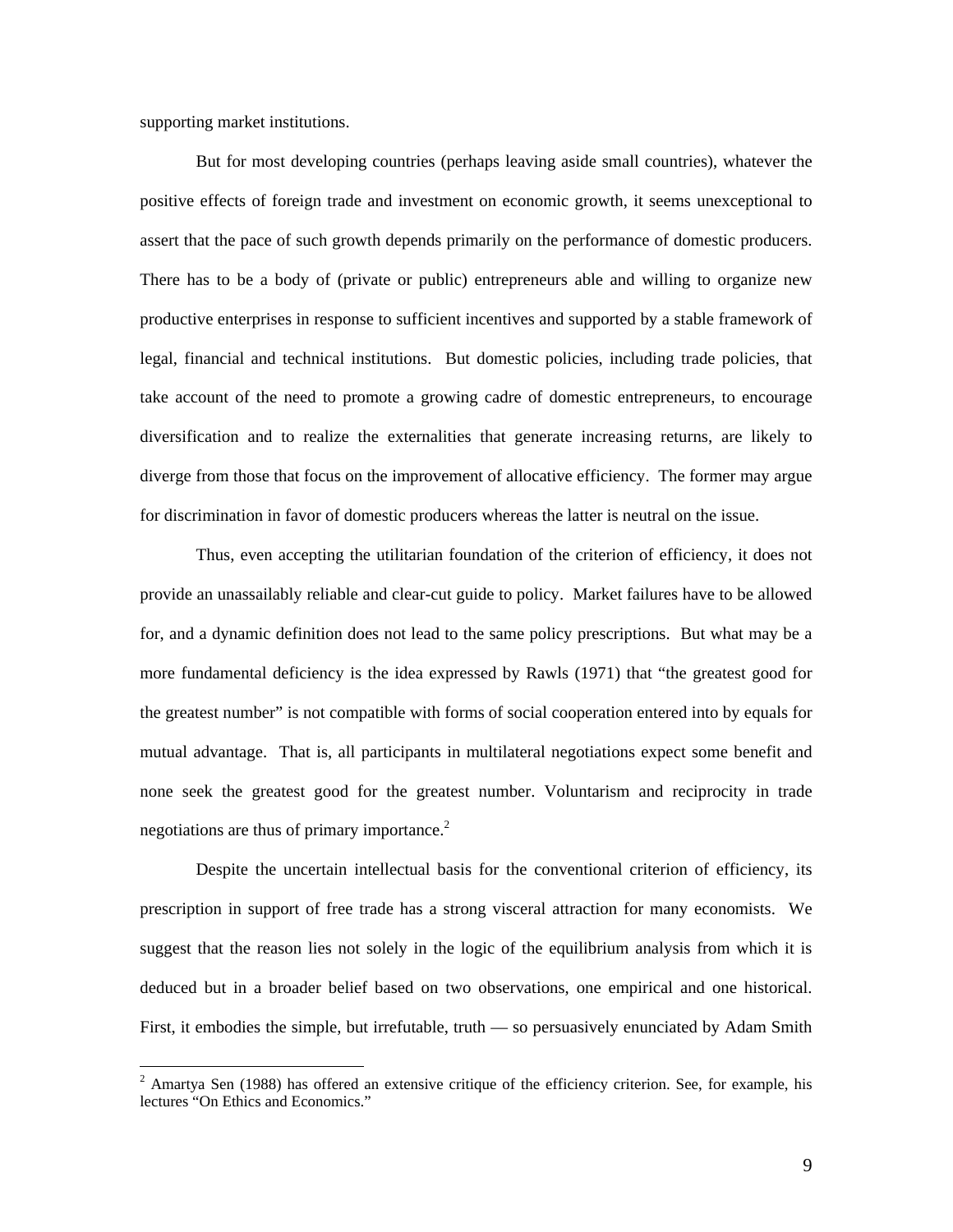supporting market institutions.

 $\overline{a}$ 

But for most developing countries (perhaps leaving aside small countries), whatever the positive effects of foreign trade and investment on economic growth, it seems unexceptional to assert that the pace of such growth depends primarily on the performance of domestic producers. There has to be a body of (private or public) entrepreneurs able and willing to organize new productive enterprises in response to sufficient incentives and supported by a stable framework of legal, financial and technical institutions. But domestic policies, including trade policies, that take account of the need to promote a growing cadre of domestic entrepreneurs, to encourage diversification and to realize the externalities that generate increasing returns, are likely to diverge from those that focus on the improvement of allocative efficiency. The former may argue for discrimination in favor of domestic producers whereas the latter is neutral on the issue.

Thus, even accepting the utilitarian foundation of the criterion of efficiency, it does not provide an unassailably reliable and clear-cut guide to policy. Market failures have to be allowed for, and a dynamic definition does not lead to the same policy prescriptions. But what may be a more fundamental deficiency is the idea expressed by Rawls (1971) that "the greatest good for the greatest number" is not compatible with forms of social cooperation entered into by equals for mutual advantage. That is, all participants in multilateral negotiations expect some benefit and none seek the greatest good for the greatest number. Voluntarism and reciprocity in trade negotiations are thus of primary importance. $2$ 

Despite the uncertain intellectual basis for the conventional criterion of efficiency, its prescription in support of free trade has a strong visceral attraction for many economists. We suggest that the reason lies not solely in the logic of the equilibrium analysis from which it is deduced but in a broader belief based on two observations, one empirical and one historical. First, it embodies the simple, but irrefutable, truth — so persuasively enunciated by Adam Smith

<span id="page-10-0"></span> $2$  Amartya Sen (1988) has offered an extensive critique of the efficiency criterion. See, for example, his lectures "On Ethics and Economics."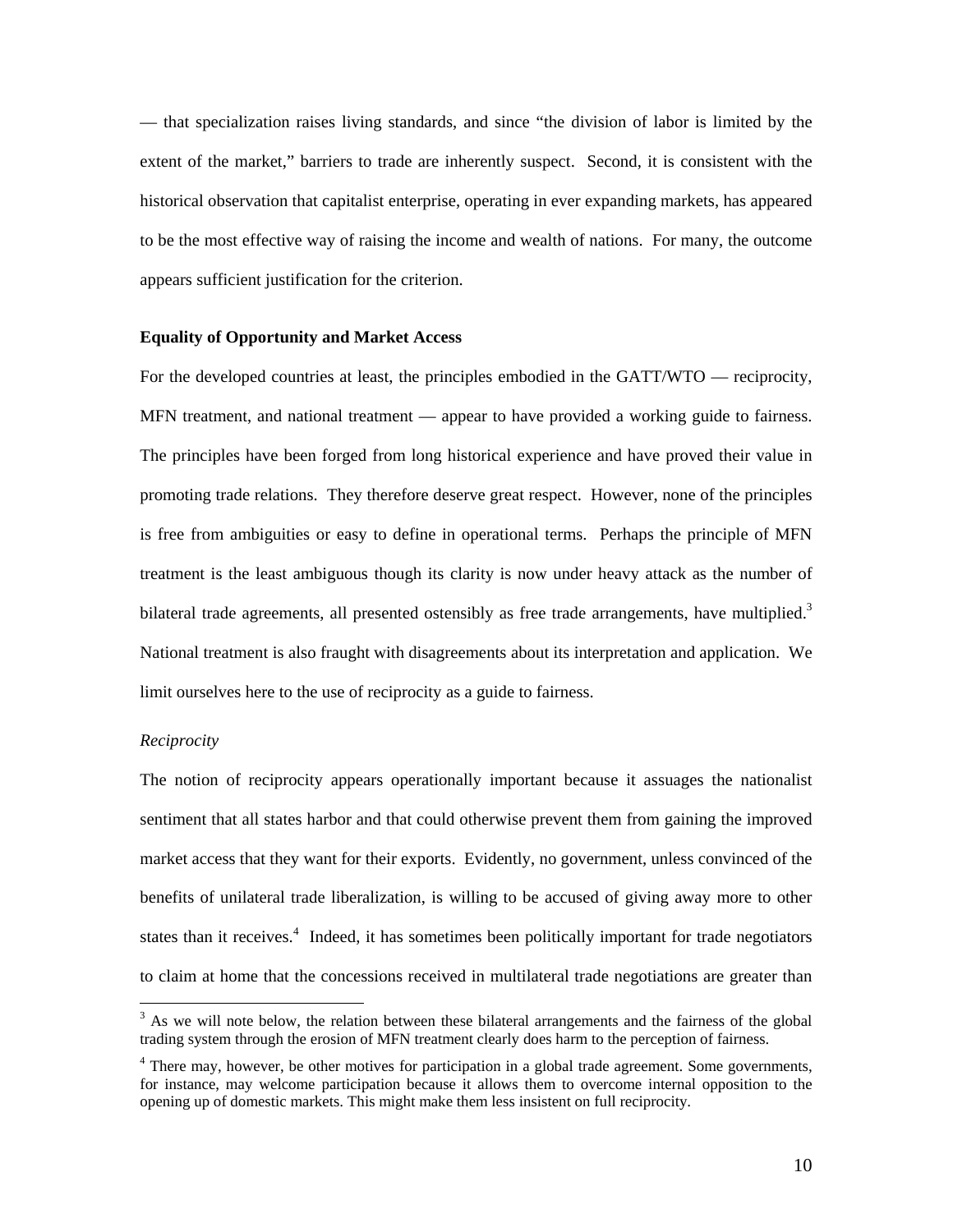— that specialization raises living standards, and since "the division of labor is limited by the extent of the market," barriers to trade are inherently suspect. Second, it is consistent with the historical observation that capitalist enterprise, operating in ever expanding markets, has appeared to be the most effective way of raising the income and wealth of nations. For many, the outcome appears sufficient justification for the criterion.

## **Equality of Opportunity and Market Access**

For the developed countries at least, the principles embodied in the GATT/WTO — reciprocity, MFN treatment, and national treatment — appear to have provided a working guide to fairness. The principles have been forged from long historical experience and have proved their value in promoting trade relations. They therefore deserve great respect. However, none of the principles is free from ambiguities or easy to define in operational terms. Perhaps the principle of MFN treatment is the least ambiguous though its clarity is now under heavy attack as the number of bilateral trade agreements, all presented ostensibly as free trade arrangements, have multiplied.<sup>3</sup> National treatment is also fraught with disagreements about its interpretation and application. We limit ourselves here to the use of reciprocity as a guide to fairness.

## *Reciprocity*

 $\overline{a}$ 

The notion of reciprocity appears operationally important because it assuages the nationalist sentiment that all states harbor and that could otherwise prevent them from gaining the improved market access that they want for their exports. Evidently, no government, unless convinced of the benefits of unilateral trade liberalization, is willing to be accused of giving away more to other states than it receives.<sup>[4](#page-11-1)</sup> Indeed, it has sometimes been politically important for trade negotiators to claim at home that the concessions received in multilateral trade negotiations are greater than

<span id="page-11-0"></span> $3$  As we will note below, the relation between these bilateral arrangements and the fairness of the global trading system through the erosion of MFN treatment clearly does harm to the perception of fairness.

<span id="page-11-1"></span><sup>&</sup>lt;sup>4</sup> There may, however, be other motives for participation in a global trade agreement. Some governments, for instance, may welcome participation because it allows them to overcome internal opposition to the opening up of domestic markets. This might make them less insistent on full reciprocity.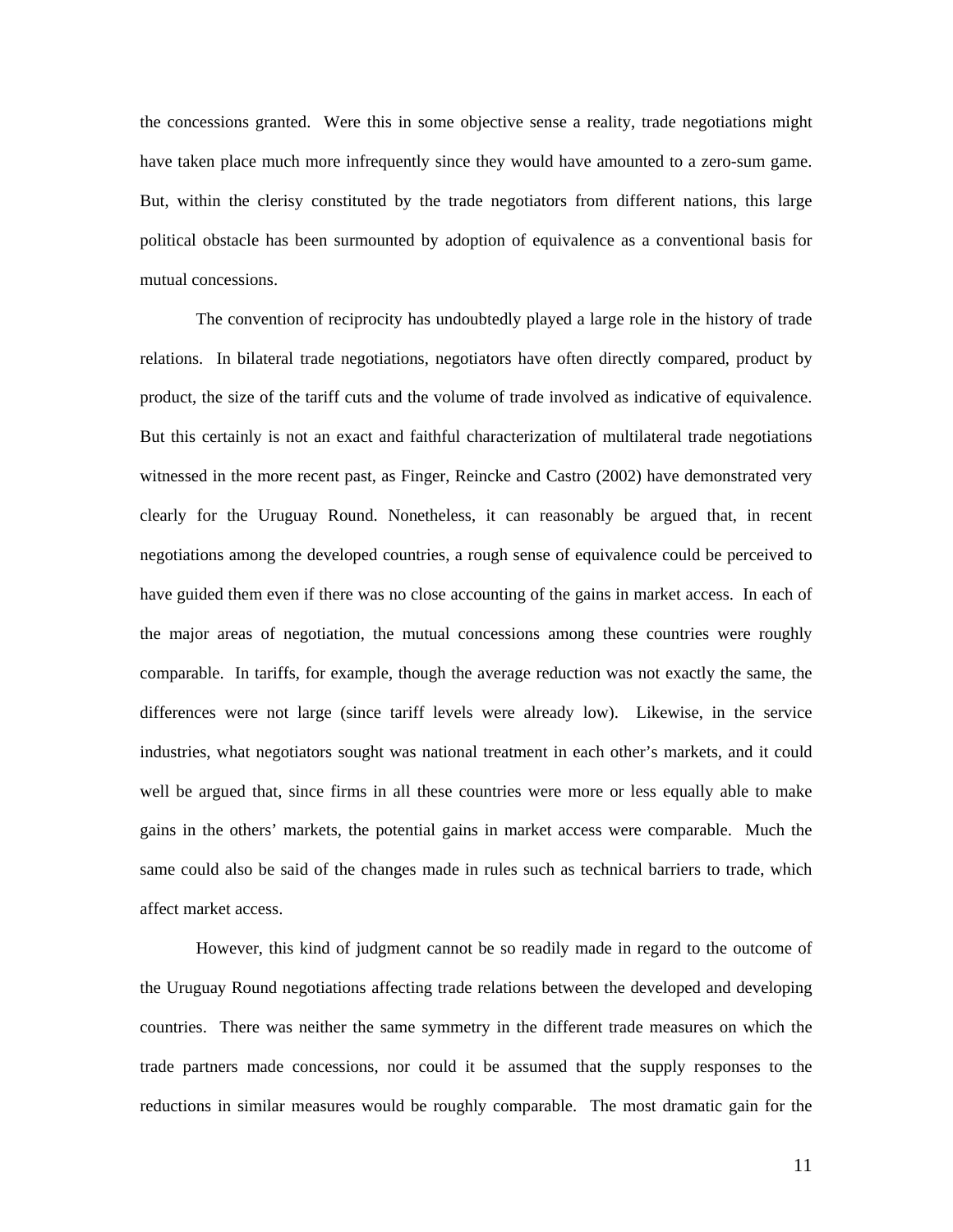the concessions granted. Were this in some objective sense a reality, trade negotiations might have taken place much more infrequently since they would have amounted to a zero-sum game. But, within the clerisy constituted by the trade negotiators from different nations, this large political obstacle has been surmounted by adoption of equivalence as a conventional basis for mutual concessions.

The convention of reciprocity has undoubtedly played a large role in the history of trade relations. In bilateral trade negotiations, negotiators have often directly compared, product by product, the size of the tariff cuts and the volume of trade involved as indicative of equivalence. But this certainly is not an exact and faithful characterization of multilateral trade negotiations witnessed in the more recent past, as Finger, Reincke and Castro (2002) have demonstrated very clearly for the Uruguay Round. Nonetheless, it can reasonably be argued that, in recent negotiations among the developed countries, a rough sense of equivalence could be perceived to have guided them even if there was no close accounting of the gains in market access. In each of the major areas of negotiation, the mutual concessions among these countries were roughly comparable. In tariffs, for example, though the average reduction was not exactly the same, the differences were not large (since tariff levels were already low). Likewise, in the service industries, what negotiators sought was national treatment in each other's markets, and it could well be argued that, since firms in all these countries were more or less equally able to make gains in the others' markets, the potential gains in market access were comparable. Much the same could also be said of the changes made in rules such as technical barriers to trade, which affect market access.

However, this kind of judgment cannot be so readily made in regard to the outcome of the Uruguay Round negotiations affecting trade relations between the developed and developing countries. There was neither the same symmetry in the different trade measures on which the trade partners made concessions, nor could it be assumed that the supply responses to the reductions in similar measures would be roughly comparable. The most dramatic gain for the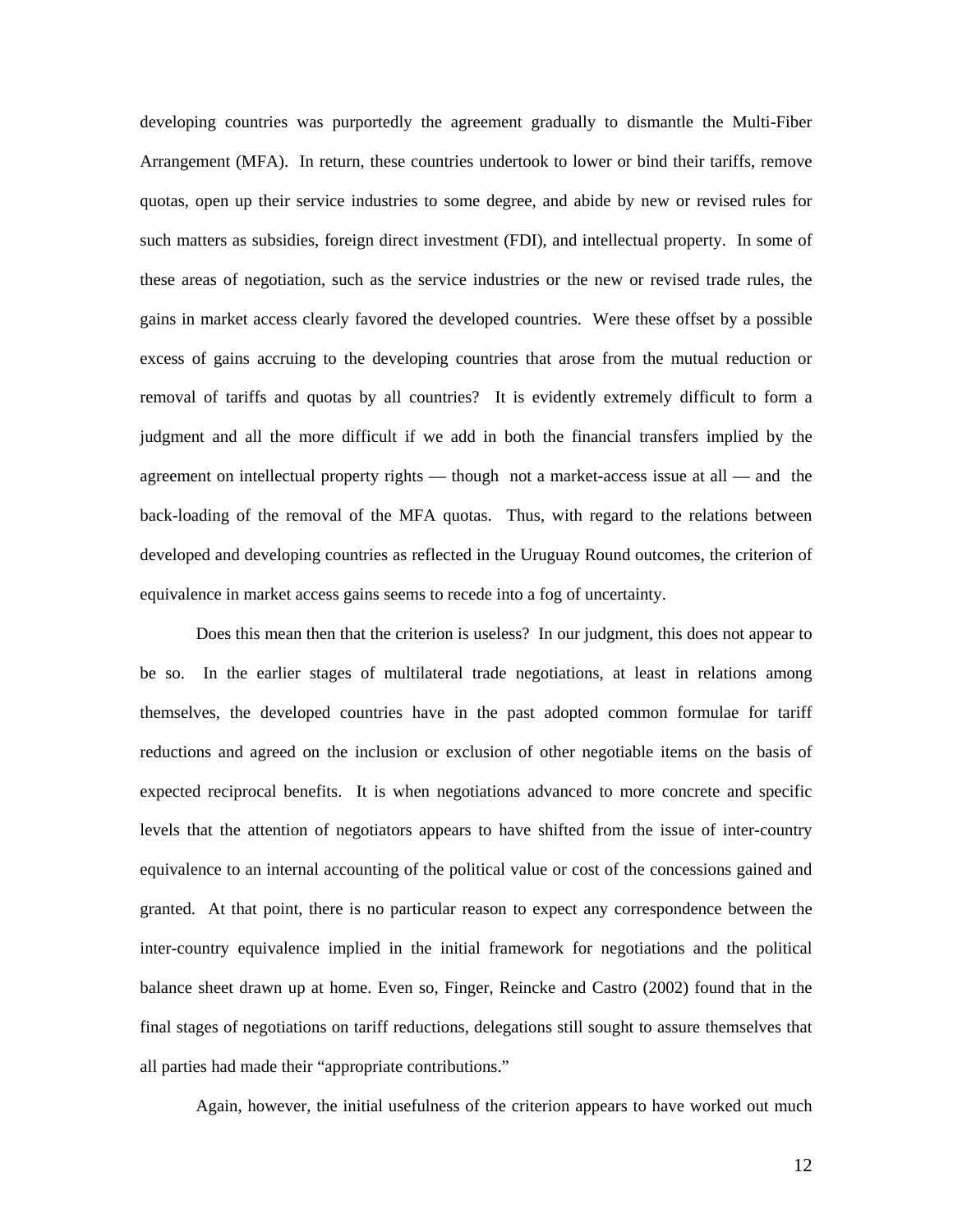developing countries was purportedly the agreement gradually to dismantle the Multi-Fiber Arrangement (MFA). In return, these countries undertook to lower or bind their tariffs, remove quotas, open up their service industries to some degree, and abide by new or revised rules for such matters as subsidies, foreign direct investment (FDI), and intellectual property. In some of these areas of negotiation, such as the service industries or the new or revised trade rules, the gains in market access clearly favored the developed countries. Were these offset by a possible excess of gains accruing to the developing countries that arose from the mutual reduction or removal of tariffs and quotas by all countries? It is evidently extremely difficult to form a judgment and all the more difficult if we add in both the financial transfers implied by the agreement on intellectual property rights — though not a market-access issue at all — and the back-loading of the removal of the MFA quotas. Thus, with regard to the relations between developed and developing countries as reflected in the Uruguay Round outcomes, the criterion of equivalence in market access gains seems to recede into a fog of uncertainty.

Does this mean then that the criterion is useless? In our judgment, this does not appear to be so. In the earlier stages of multilateral trade negotiations, at least in relations among themselves, the developed countries have in the past adopted common formulae for tariff reductions and agreed on the inclusion or exclusion of other negotiable items on the basis of expected reciprocal benefits. It is when negotiations advanced to more concrete and specific levels that the attention of negotiators appears to have shifted from the issue of inter-country equivalence to an internal accounting of the political value or cost of the concessions gained and granted. At that point, there is no particular reason to expect any correspondence between the inter-country equivalence implied in the initial framework for negotiations and the political balance sheet drawn up at home. Even so, Finger, Reincke and Castro (2002) found that in the final stages of negotiations on tariff reductions, delegations still sought to assure themselves that all parties had made their "appropriate contributions."

Again, however, the initial usefulness of the criterion appears to have worked out much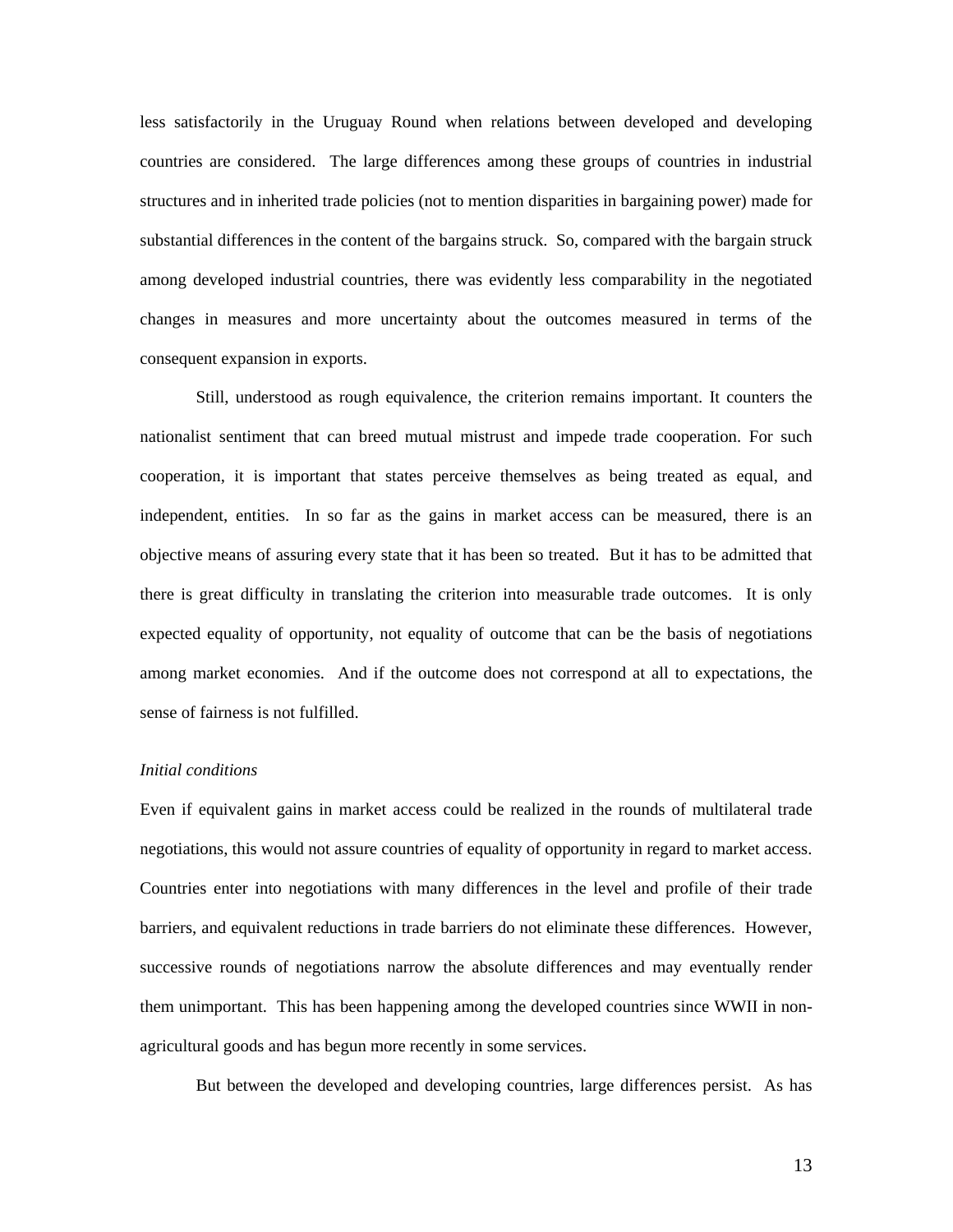less satisfactorily in the Uruguay Round when relations between developed and developing countries are considered. The large differences among these groups of countries in industrial structures and in inherited trade policies (not to mention disparities in bargaining power) made for substantial differences in the content of the bargains struck. So, compared with the bargain struck among developed industrial countries, there was evidently less comparability in the negotiated changes in measures and more uncertainty about the outcomes measured in terms of the consequent expansion in exports.

Still, understood as rough equivalence, the criterion remains important. It counters the nationalist sentiment that can breed mutual mistrust and impede trade cooperation. For such cooperation, it is important that states perceive themselves as being treated as equal, and independent, entities. In so far as the gains in market access can be measured, there is an objective means of assuring every state that it has been so treated. But it has to be admitted that there is great difficulty in translating the criterion into measurable trade outcomes. It is only expected equality of opportunity, not equality of outcome that can be the basis of negotiations among market economies. And if the outcome does not correspond at all to expectations, the sense of fairness is not fulfilled.

## *Initial conditions*

Even if equivalent gains in market access could be realized in the rounds of multilateral trade negotiations, this would not assure countries of equality of opportunity in regard to market access. Countries enter into negotiations with many differences in the level and profile of their trade barriers, and equivalent reductions in trade barriers do not eliminate these differences. However, successive rounds of negotiations narrow the absolute differences and may eventually render them unimportant. This has been happening among the developed countries since WWII in nonagricultural goods and has begun more recently in some services.

But between the developed and developing countries, large differences persist. As has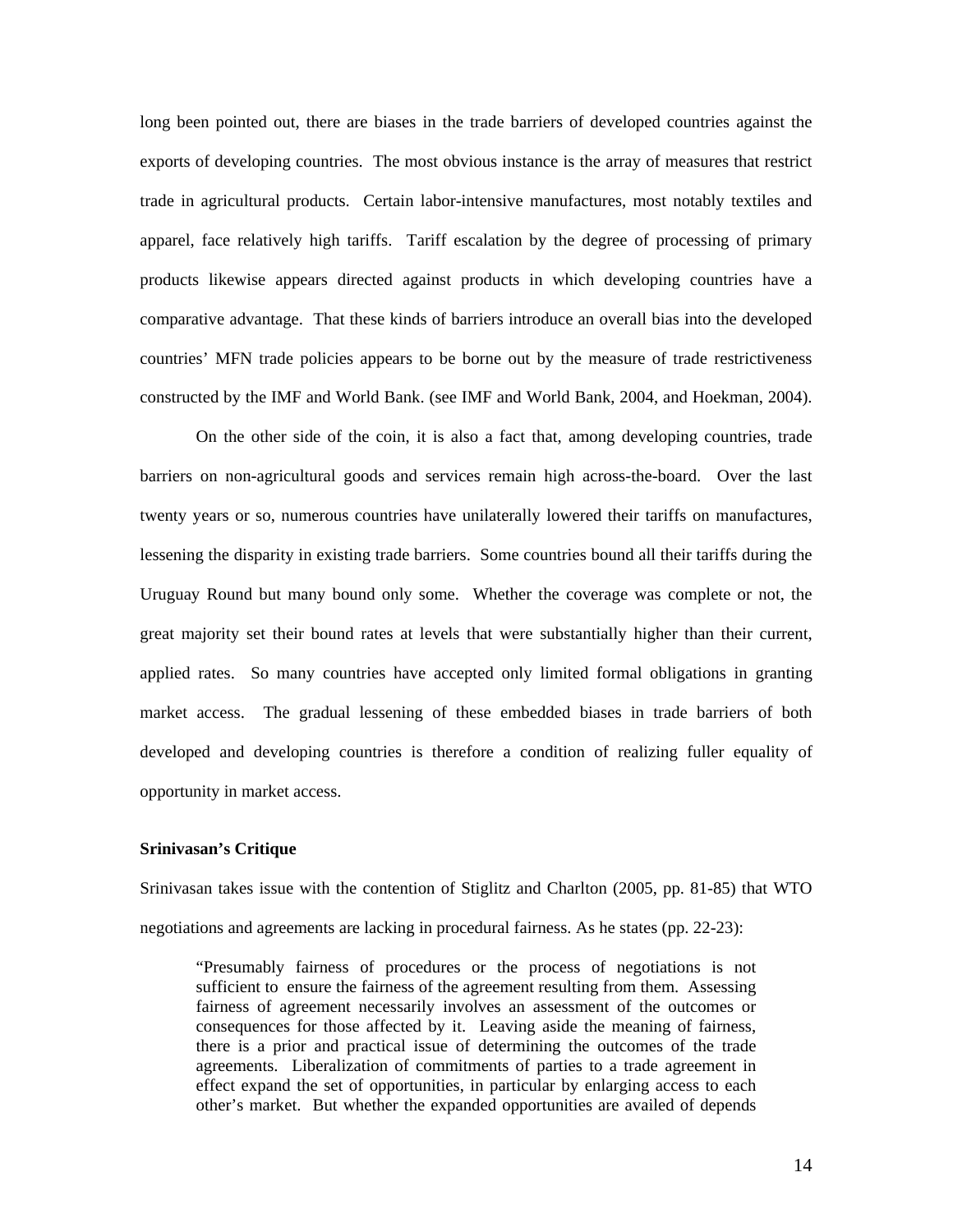long been pointed out, there are biases in the trade barriers of developed countries against the exports of developing countries. The most obvious instance is the array of measures that restrict trade in agricultural products. Certain labor-intensive manufactures, most notably textiles and apparel, face relatively high tariffs. Tariff escalation by the degree of processing of primary products likewise appears directed against products in which developing countries have a comparative advantage. That these kinds of barriers introduce an overall bias into the developed countries' MFN trade policies appears to be borne out by the measure of trade restrictiveness constructed by the IMF and World Bank. (see IMF and World Bank, 2004, and Hoekman, 2004).

On the other side of the coin, it is also a fact that, among developing countries, trade barriers on non-agricultural goods and services remain high across-the-board. Over the last twenty years or so, numerous countries have unilaterally lowered their tariffs on manufactures, lessening the disparity in existing trade barriers. Some countries bound all their tariffs during the Uruguay Round but many bound only some. Whether the coverage was complete or not, the great majority set their bound rates at levels that were substantially higher than their current, applied rates. So many countries have accepted only limited formal obligations in granting market access. The gradual lessening of these embedded biases in trade barriers of both developed and developing countries is therefore a condition of realizing fuller equality of opportunity in market access.

## **Srinivasan's Critique**

Srinivasan takes issue with the contention of Stiglitz and Charlton (2005, pp. 81-85) that WTO negotiations and agreements are lacking in procedural fairness. As he states (pp. 22-23):

"Presumably fairness of procedures or the process of negotiations is not sufficient to ensure the fairness of the agreement resulting from them. Assessing fairness of agreement necessarily involves an assessment of the outcomes or consequences for those affected by it. Leaving aside the meaning of fairness, there is a prior and practical issue of determining the outcomes of the trade agreements. Liberalization of commitments of parties to a trade agreement in effect expand the set of opportunities, in particular by enlarging access to each other's market. But whether the expanded opportunities are availed of depends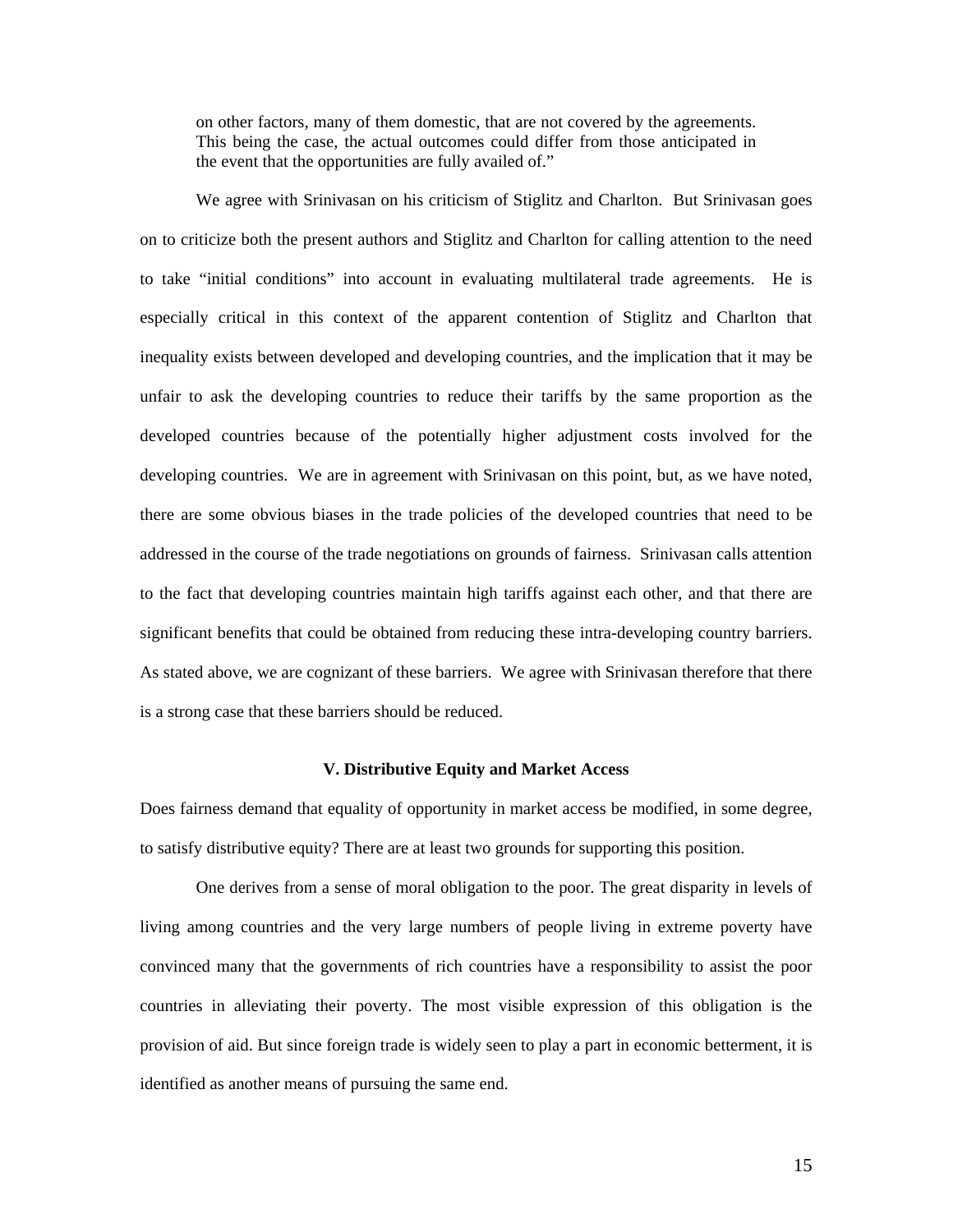on other factors, many of them domestic, that are not covered by the agreements. This being the case, the actual outcomes could differ from those anticipated in the event that the opportunities are fully availed of."

We agree with Srinivasan on his criticism of Stiglitz and Charlton. But Srinivasan goes on to criticize both the present authors and Stiglitz and Charlton for calling attention to the need to take "initial conditions" into account in evaluating multilateral trade agreements. He is especially critical in this context of the apparent contention of Stiglitz and Charlton that inequality exists between developed and developing countries, and the implication that it may be unfair to ask the developing countries to reduce their tariffs by the same proportion as the developed countries because of the potentially higher adjustment costs involved for the developing countries. We are in agreement with Srinivasan on this point, but, as we have noted, there are some obvious biases in the trade policies of the developed countries that need to be addressed in the course of the trade negotiations on grounds of fairness. Srinivasan calls attention to the fact that developing countries maintain high tariffs against each other, and that there are significant benefits that could be obtained from reducing these intra-developing country barriers. As stated above, we are cognizant of these barriers. We agree with Srinivasan therefore that there is a strong case that these barriers should be reduced.

## **V. Distributive Equity and Market Access**

Does fairness demand that equality of opportunity in market access be modified, in some degree, to satisfy distributive equity? There are at least two grounds for supporting this position.

One derives from a sense of moral obligation to the poor. The great disparity in levels of living among countries and the very large numbers of people living in extreme poverty have convinced many that the governments of rich countries have a responsibility to assist the poor countries in alleviating their poverty. The most visible expression of this obligation is the provision of aid. But since foreign trade is widely seen to play a part in economic betterment, it is identified as another means of pursuing the same end.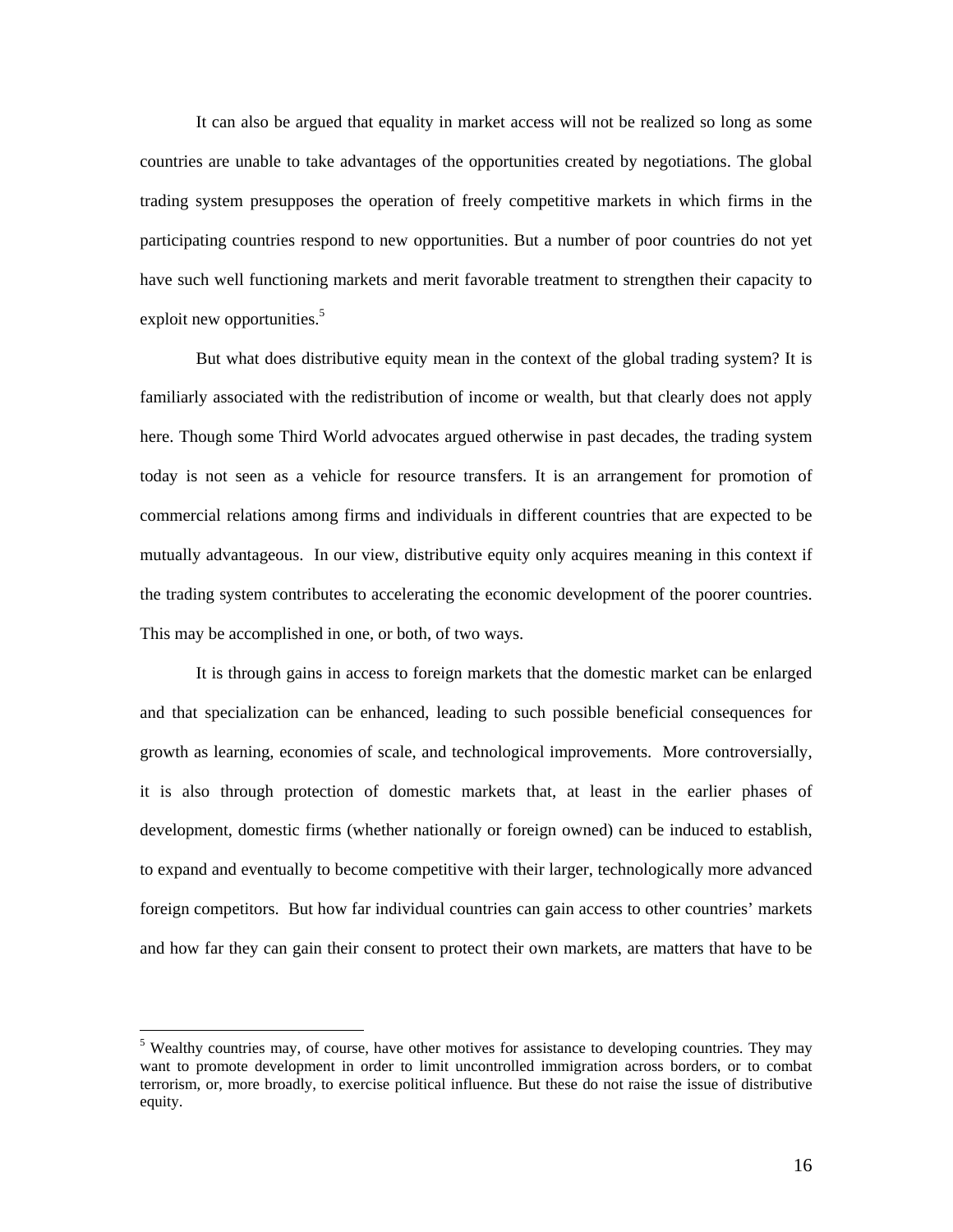It can also be argued that equality in market access will not be realized so long as some countries are unable to take advantages of the opportunities created by negotiations. The global trading system presupposes the operation of freely competitive markets in which firms in the participating countries respond to new opportunities. But a number of poor countries do not yet have such well functioning markets and merit favorable treatment to strengthen their capacity to exploit new opportunities.<sup>[5](#page-17-0)</sup>

But what does distributive equity mean in the context of the global trading system? It is familiarly associated with the redistribution of income or wealth, but that clearly does not apply here. Though some Third World advocates argued otherwise in past decades, the trading system today is not seen as a vehicle for resource transfers. It is an arrangement for promotion of commercial relations among firms and individuals in different countries that are expected to be mutually advantageous. In our view, distributive equity only acquires meaning in this context if the trading system contributes to accelerating the economic development of the poorer countries. This may be accomplished in one, or both, of two ways.

It is through gains in access to foreign markets that the domestic market can be enlarged and that specialization can be enhanced, leading to such possible beneficial consequences for growth as learning, economies of scale, and technological improvements. More controversially, it is also through protection of domestic markets that, at least in the earlier phases of development, domestic firms (whether nationally or foreign owned) can be induced to establish, to expand and eventually to become competitive with their larger, technologically more advanced foreign competitors. But how far individual countries can gain access to other countries' markets and how far they can gain their consent to protect their own markets, are matters that have to be

 $\overline{a}$ 

<span id="page-17-0"></span><sup>&</sup>lt;sup>5</sup> Wealthy countries may, of course, have other motives for assistance to developing countries. They may want to promote development in order to limit uncontrolled immigration across borders, or to combat terrorism, or, more broadly, to exercise political influence. But these do not raise the issue of distributive equity.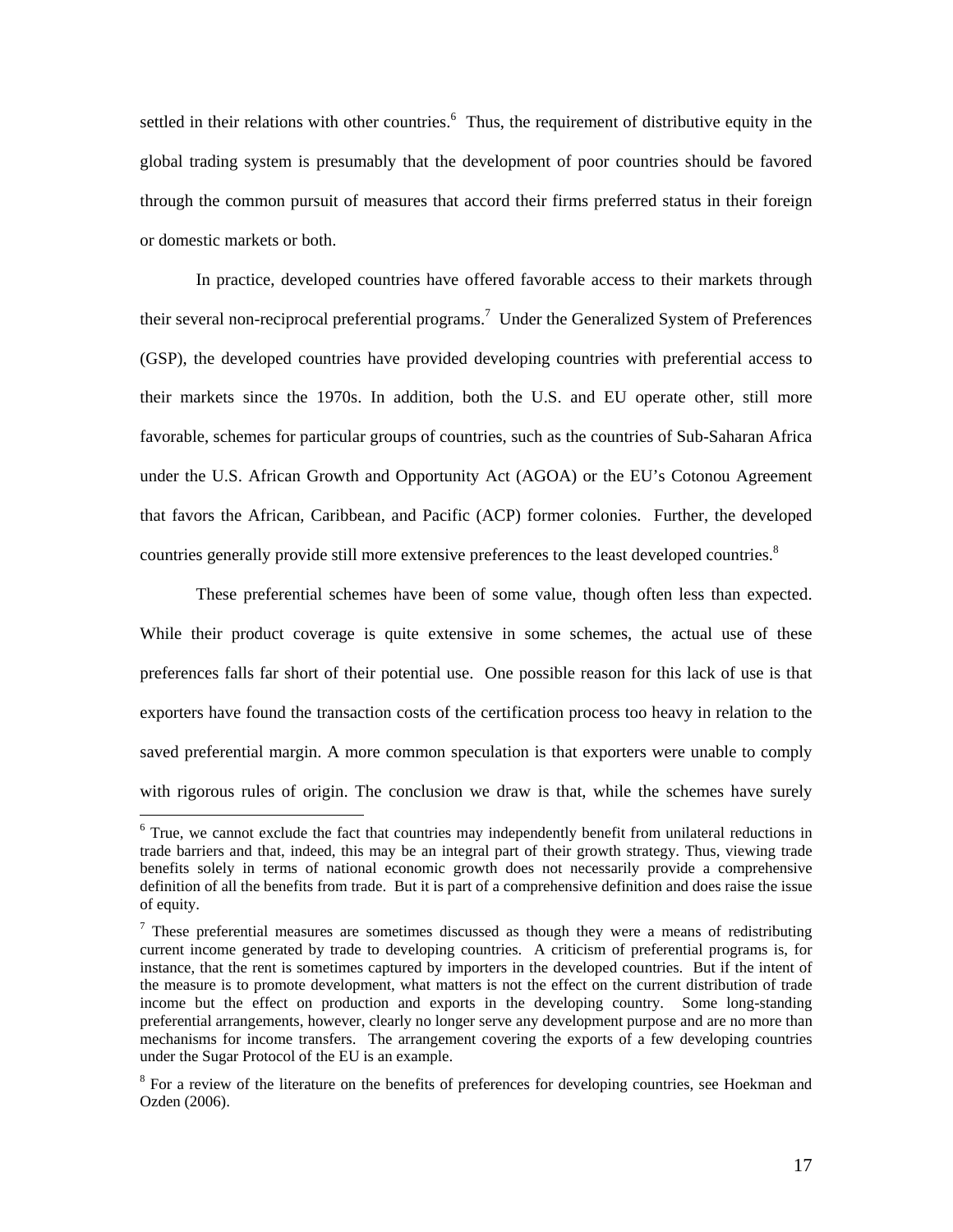settled in their relations with other countries.<sup>[6](#page-18-0)</sup> Thus, the requirement of distributive equity in the global trading system is presumably that the development of poor countries should be favored through the common pursuit of measures that accord their firms preferred status in their foreign or domestic markets or both.

In practice, developed countries have offered favorable access to their markets through theirseveral non-reciprocal preferential programs.<sup>7</sup> Under the Generalized System of Preferences (GSP), the developed countries have provided developing countries with preferential access to their markets since the 1970s. In addition, both the U.S. and EU operate other, still more favorable, schemes for particular groups of countries, such as the countries of Sub-Saharan Africa under the U.S. African Growth and Opportunity Act (AGOA) or the EU's Cotonou Agreement that favors the African, Caribbean, and Pacific (ACP) former colonies. Further, the developed countries generally provide still more extensive preferences to the least developed countries.<sup>[8](#page-18-2)</sup>

These preferential schemes have been of some value, though often less than expected. While their product coverage is quite extensive in some schemes, the actual use of these preferences falls far short of their potential use. One possible reason for this lack of use is that exporters have found the transaction costs of the certification process too heavy in relation to the saved preferential margin. A more common speculation is that exporters were unable to comply with rigorous rules of origin. The conclusion we draw is that, while the schemes have surely

 $\overline{a}$ 

<span id="page-18-0"></span><sup>&</sup>lt;sup>6</sup> True, we cannot exclude the fact that countries may independently benefit from unilateral reductions in trade barriers and that, indeed, this may be an integral part of their growth strategy. Thus, viewing trade benefits solely in terms of national economic growth does not necessarily provide a comprehensive definition of all the benefits from trade. But it is part of a comprehensive definition and does raise the issue of equity.

<span id="page-18-1"></span> $<sup>7</sup>$  These preferential measures are sometimes discussed as though they were a means of redistributing</sup> current income generated by trade to developing countries. A criticism of preferential programs is, for instance, that the rent is sometimes captured by importers in the developed countries. But if the intent of the measure is to promote development, what matters is not the effect on the current distribution of trade income but the effect on production and exports in the developing country. Some long-standing preferential arrangements, however, clearly no longer serve any development purpose and are no more than mechanisms for income transfers. The arrangement covering the exports of a few developing countries under the Sugar Protocol of the EU is an example.

<span id="page-18-2"></span><sup>&</sup>lt;sup>8</sup> For a review of the literature on the benefits of preferences for developing countries, see Hoekman and Ozden (2006).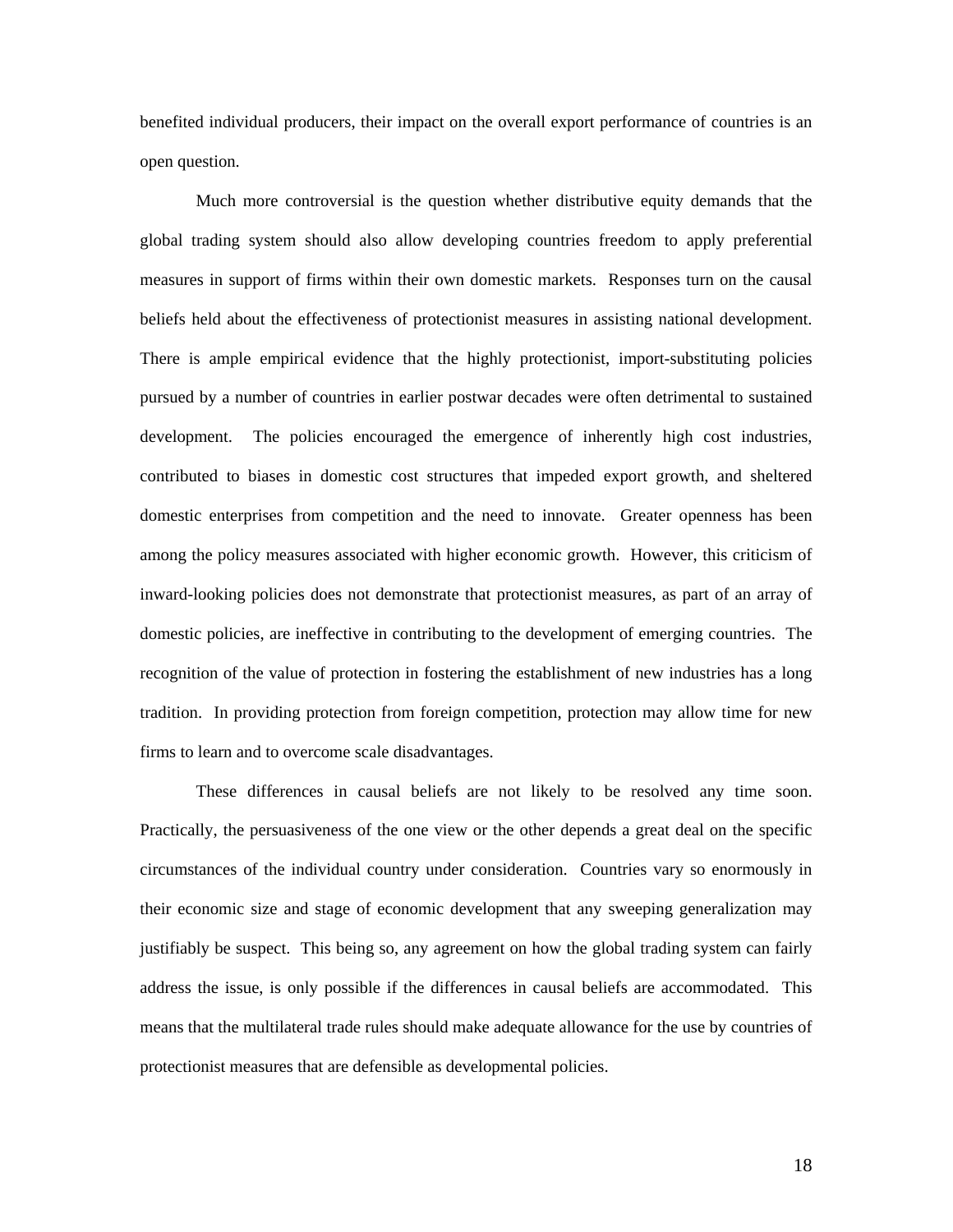benefited individual producers, their impact on the overall export performance of countries is an open question.

Much more controversial is the question whether distributive equity demands that the global trading system should also allow developing countries freedom to apply preferential measures in support of firms within their own domestic markets. Responses turn on the causal beliefs held about the effectiveness of protectionist measures in assisting national development. There is ample empirical evidence that the highly protectionist, import-substituting policies pursued by a number of countries in earlier postwar decades were often detrimental to sustained development. The policies encouraged the emergence of inherently high cost industries, contributed to biases in domestic cost structures that impeded export growth, and sheltered domestic enterprises from competition and the need to innovate. Greater openness has been among the policy measures associated with higher economic growth. However, this criticism of inward-looking policies does not demonstrate that protectionist measures, as part of an array of domestic policies, are ineffective in contributing to the development of emerging countries. The recognition of the value of protection in fostering the establishment of new industries has a long tradition. In providing protection from foreign competition, protection may allow time for new firms to learn and to overcome scale disadvantages.

These differences in causal beliefs are not likely to be resolved any time soon. Practically, the persuasiveness of the one view or the other depends a great deal on the specific circumstances of the individual country under consideration. Countries vary so enormously in their economic size and stage of economic development that any sweeping generalization may justifiably be suspect. This being so, any agreement on how the global trading system can fairly address the issue, is only possible if the differences in causal beliefs are accommodated. This means that the multilateral trade rules should make adequate allowance for the use by countries of protectionist measures that are defensible as developmental policies.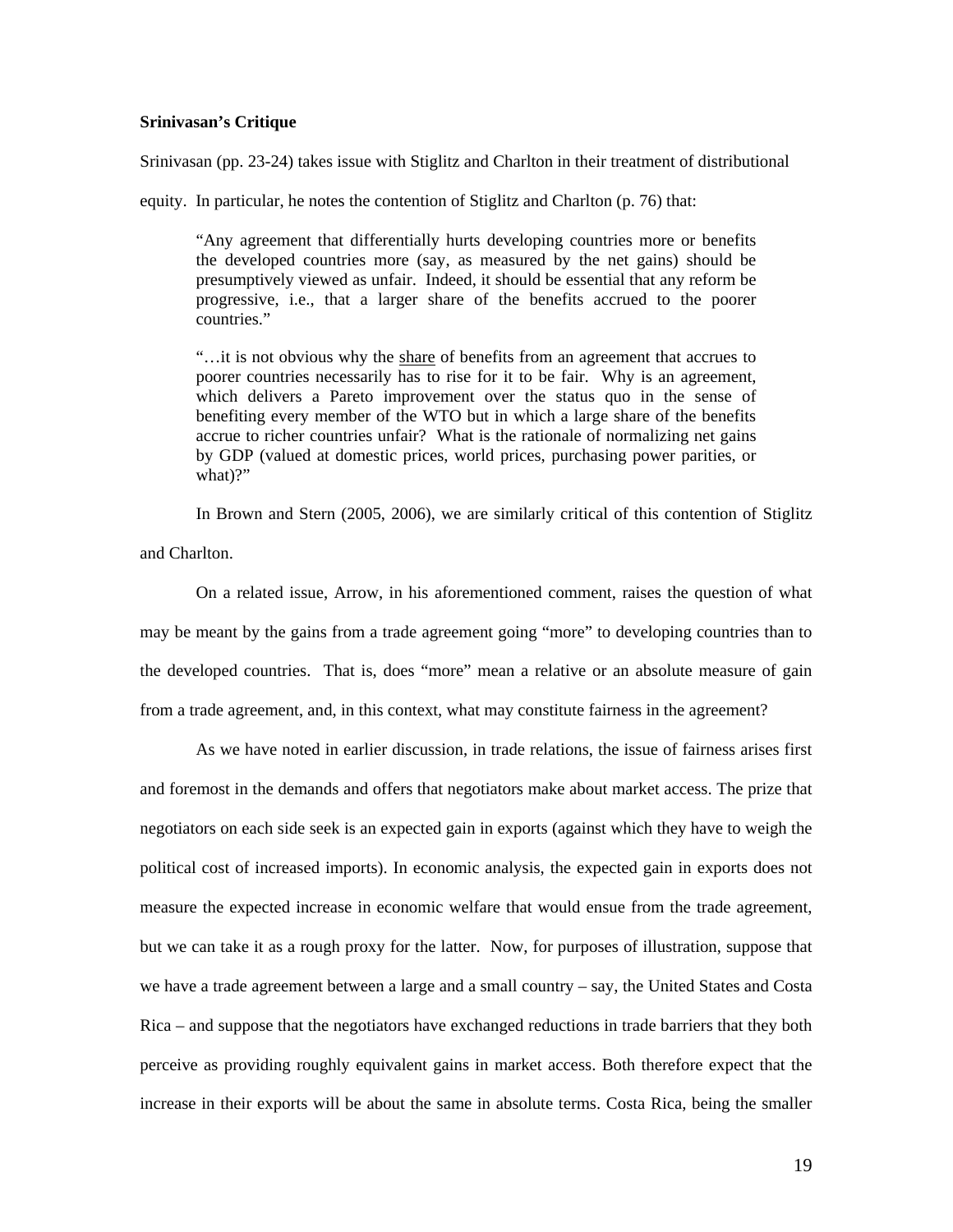## **Srinivasan's Critique**

Srinivasan (pp. 23-24) takes issue with Stiglitz and Charlton in their treatment of distributional

equity. In particular, he notes the contention of Stiglitz and Charlton (p. 76) that:

"Any agreement that differentially hurts developing countries more or benefits the developed countries more (say, as measured by the net gains) should be presumptively viewed as unfair. Indeed, it should be essential that any reform be progressive, i.e., that a larger share of the benefits accrued to the poorer countries."

"...it is not obvious why the share of benefits from an agreement that accrues to poorer countries necessarily has to rise for it to be fair. Why is an agreement, which delivers a Pareto improvement over the status quo in the sense of benefiting every member of the WTO but in which a large share of the benefits accrue to richer countries unfair? What is the rationale of normalizing net gains by GDP (valued at domestic prices, world prices, purchasing power parities, or what)?"

In Brown and Stern (2005, 2006), we are similarly critical of this contention of Stiglitz and Charlton.

On a related issue, Arrow, in his aforementioned comment, raises the question of what may be meant by the gains from a trade agreement going "more" to developing countries than to the developed countries. That is, does "more" mean a relative or an absolute measure of gain from a trade agreement, and, in this context, what may constitute fairness in the agreement?

As we have noted in earlier discussion, in trade relations, the issue of fairness arises first and foremost in the demands and offers that negotiators make about market access. The prize that negotiators on each side seek is an expected gain in exports (against which they have to weigh the political cost of increased imports). In economic analysis, the expected gain in exports does not measure the expected increase in economic welfare that would ensue from the trade agreement, but we can take it as a rough proxy for the latter. Now, for purposes of illustration, suppose that we have a trade agreement between a large and a small country – say, the United States and Costa Rica – and suppose that the negotiators have exchanged reductions in trade barriers that they both perceive as providing roughly equivalent gains in market access. Both therefore expect that the increase in their exports will be about the same in absolute terms. Costa Rica, being the smaller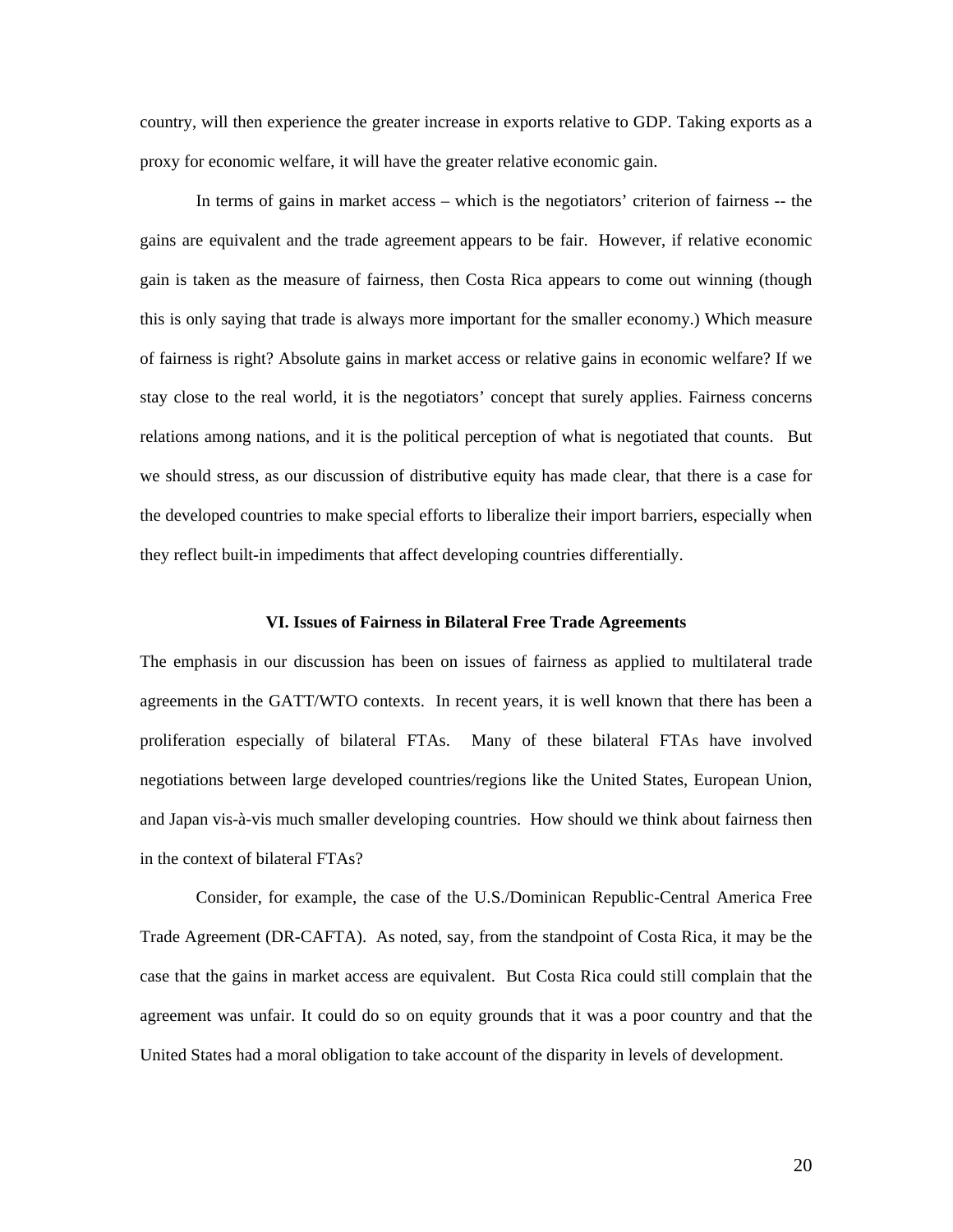country, will then experience the greater increase in exports relative to GDP. Taking exports as a proxy for economic welfare, it will have the greater relative economic gain.

In terms of gains in market access – which is the negotiators' criterion of fairness -- the gains are equivalent and the trade agreement appears to be fair. However, if relative economic gain is taken as the measure of fairness, then Costa Rica appears to come out winning (though this is only saying that trade is always more important for the smaller economy.) Which measure of fairness is right? Absolute gains in market access or relative gains in economic welfare? If we stay close to the real world, it is the negotiators' concept that surely applies. Fairness concerns relations among nations, and it is the political perception of what is negotiated that counts. But we should stress, as our discussion of distributive equity has made clear, that there is a case for the developed countries to make special efforts to liberalize their import barriers, especially when they reflect built-in impediments that affect developing countries differentially.

## **VI. Issues of Fairness in Bilateral Free Trade Agreements**

The emphasis in our discussion has been on issues of fairness as applied to multilateral trade agreements in the GATT/WTO contexts. In recent years, it is well known that there has been a proliferation especially of bilateral FTAs. Many of these bilateral FTAs have involved negotiations between large developed countries/regions like the United States, European Union, and Japan vis-à-vis much smaller developing countries. How should we think about fairness then in the context of bilateral FTAs?

Consider, for example, the case of the U.S./Dominican Republic-Central America Free Trade Agreement (DR-CAFTA). As noted, say, from the standpoint of Costa Rica, it may be the case that the gains in market access are equivalent. But Costa Rica could still complain that the agreement was unfair. It could do so on equity grounds that it was a poor country and that the United States had a moral obligation to take account of the disparity in levels of development.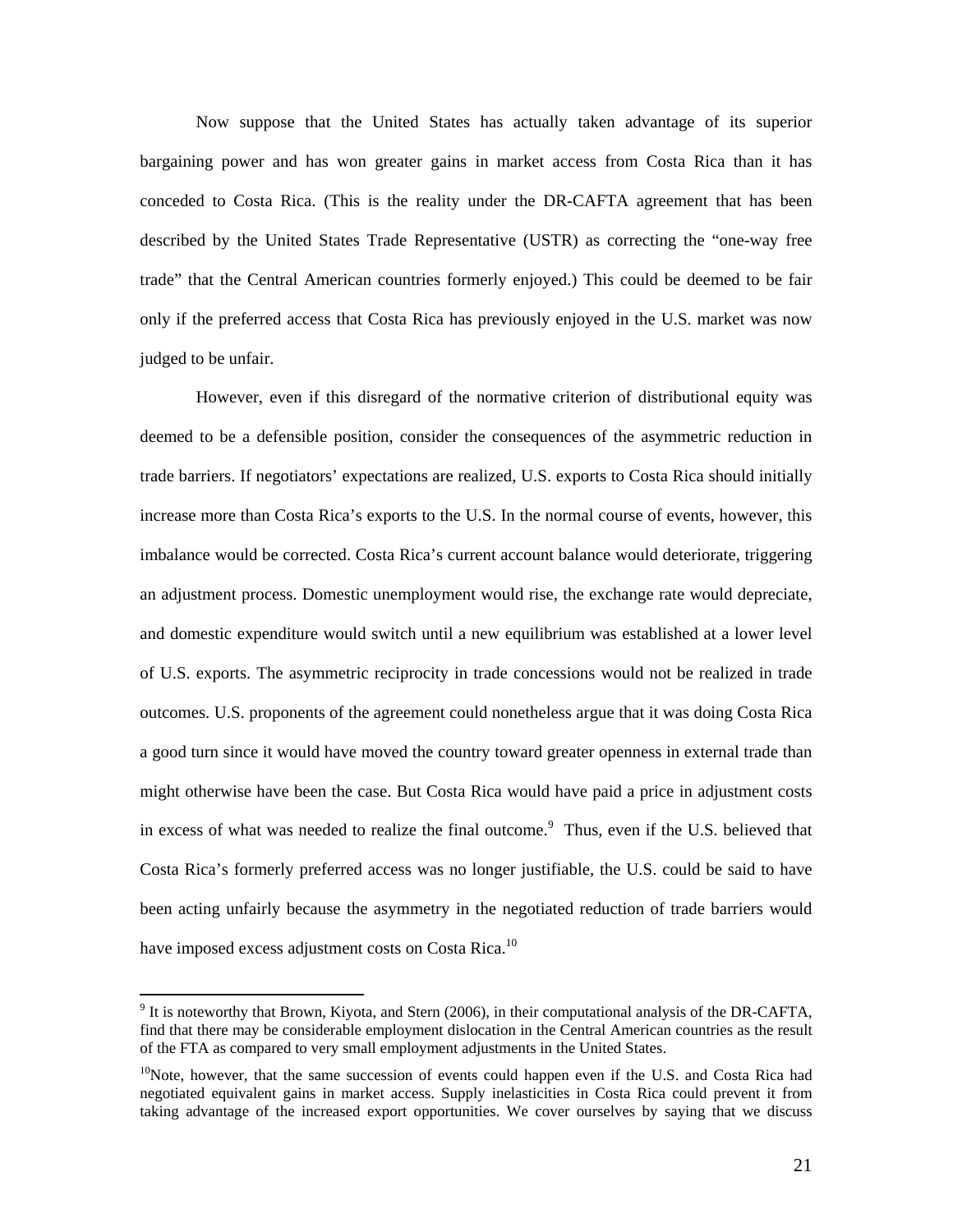Now suppose that the United States has actually taken advantage of its superior bargaining power and has won greater gains in market access from Costa Rica than it has conceded to Costa Rica. (This is the reality under the DR-CAFTA agreement that has been described by the United States Trade Representative (USTR) as correcting the "one-way free trade" that the Central American countries formerly enjoyed.) This could be deemed to be fair only if the preferred access that Costa Rica has previously enjoyed in the U.S. market was now judged to be unfair.

However, even if this disregard of the normative criterion of distributional equity was deemed to be a defensible position, consider the consequences of the asymmetric reduction in trade barriers. If negotiators' expectations are realized, U.S. exports to Costa Rica should initially increase more than Costa Rica's exports to the U.S. In the normal course of events, however, this imbalance would be corrected. Costa Rica's current account balance would deteriorate, triggering an adjustment process. Domestic unemployment would rise, the exchange rate would depreciate, and domestic expenditure would switch until a new equilibrium was established at a lower level of U.S. exports. The asymmetric reciprocity in trade concessions would not be realized in trade outcomes. U.S. proponents of the agreement could nonetheless argue that it was doing Costa Rica a good turn since it would have moved the country toward greater openness in external trade than might otherwise have been the case. But Costa Rica would have paid a price in adjustment costs in excess of what was needed to realize the final outcome. [9](#page-22-0) Thus, even if the U.S. believed that Costa Rica's formerly preferred access was no longer justifiable, the U.S. could be said to have been acting unfairly because the asymmetry in the negotiated reduction of trade barriers would have imposed excess adjustment costs on Costa Rica.<sup>10</sup>

 $\overline{a}$ 

<span id="page-22-0"></span> $9$  It is noteworthy that Brown, Kiyota, and Stern (2006), in their computational analysis of the DR-CAFTA, find that there may be considerable employment dislocation in the Central American countries as the result of the FTA as compared to very small employment adjustments in the United States.

<span id="page-22-1"></span><sup>&</sup>lt;sup>10</sup>Note, however, that the same succession of events could happen even if the U.S. and Costa Rica had negotiated equivalent gains in market access. Supply inelasticities in Costa Rica could prevent it from taking advantage of the increased export opportunities. We cover ourselves by saying that we discuss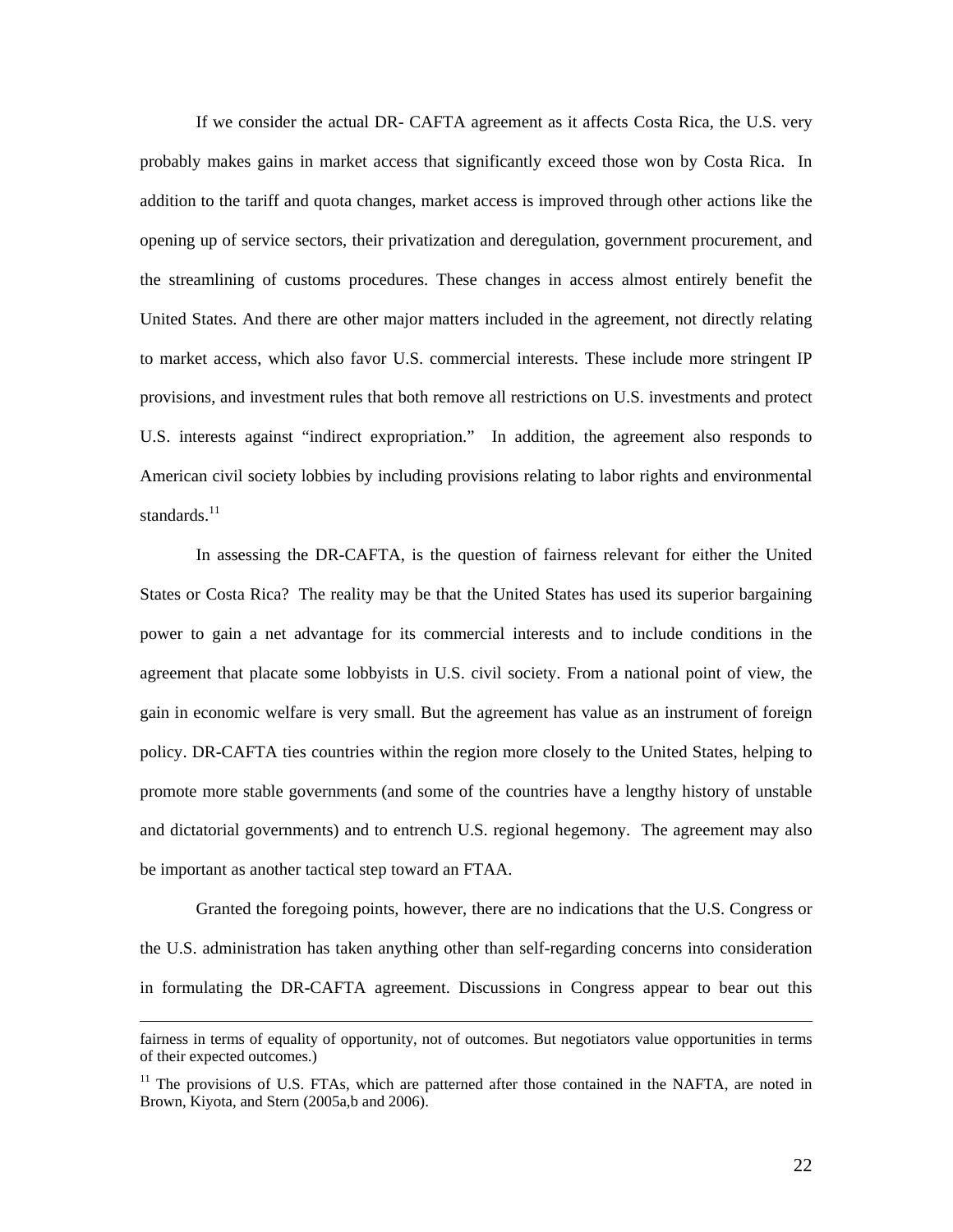If we consider the actual DR- CAFTA agreement as it affects Costa Rica, the U.S. very probably makes gains in market access that significantly exceed those won by Costa Rica. In addition to the tariff and quota changes, market access is improved through other actions like the opening up of service sectors, their privatization and deregulation, government procurement, and the streamlining of customs procedures. These changes in access almost entirely benefit the United States. And there are other major matters included in the agreement, not directly relating to market access, which also favor U.S. commercial interests. These include more stringent IP provisions, and investment rules that both remove all restrictions on U.S. investments and protect U.S. interests against "indirect expropriation." In addition, the agreement also responds to American civil society lobbies by including provisions relating to labor rights and environmental standards. $^{11}$  $^{11}$  $^{11}$ 

In assessing the DR-CAFTA, is the question of fairness relevant for either the United States or Costa Rica? The reality may be that the United States has used its superior bargaining power to gain a net advantage for its commercial interests and to include conditions in the agreement that placate some lobbyists in U.S. civil society. From a national point of view, the gain in economic welfare is very small. But the agreement has value as an instrument of foreign policy. DR-CAFTA ties countries within the region more closely to the United States, helping to promote more stable governments (and some of the countries have a lengthy history of unstable and dictatorial governments) and to entrench U.S. regional hegemony. The agreement may also be important as another tactical step toward an FTAA.

Granted the foregoing points, however, there are no indications that the U.S. Congress or the U.S. administration has taken anything other than self-regarding concerns into consideration in formulating the DR-CAFTA agreement. Discussions in Congress appear to bear out this

fairness in terms of equality of opportunity, not of outcomes. But negotiators value opportunities in terms of their expected outcomes.)

<span id="page-23-0"></span><sup>&</sup>lt;sup>11</sup> The provisions of U.S. FTAs, which are patterned after those contained in the NAFTA, are noted in Brown, Kiyota, and Stern (2005a,b and 2006).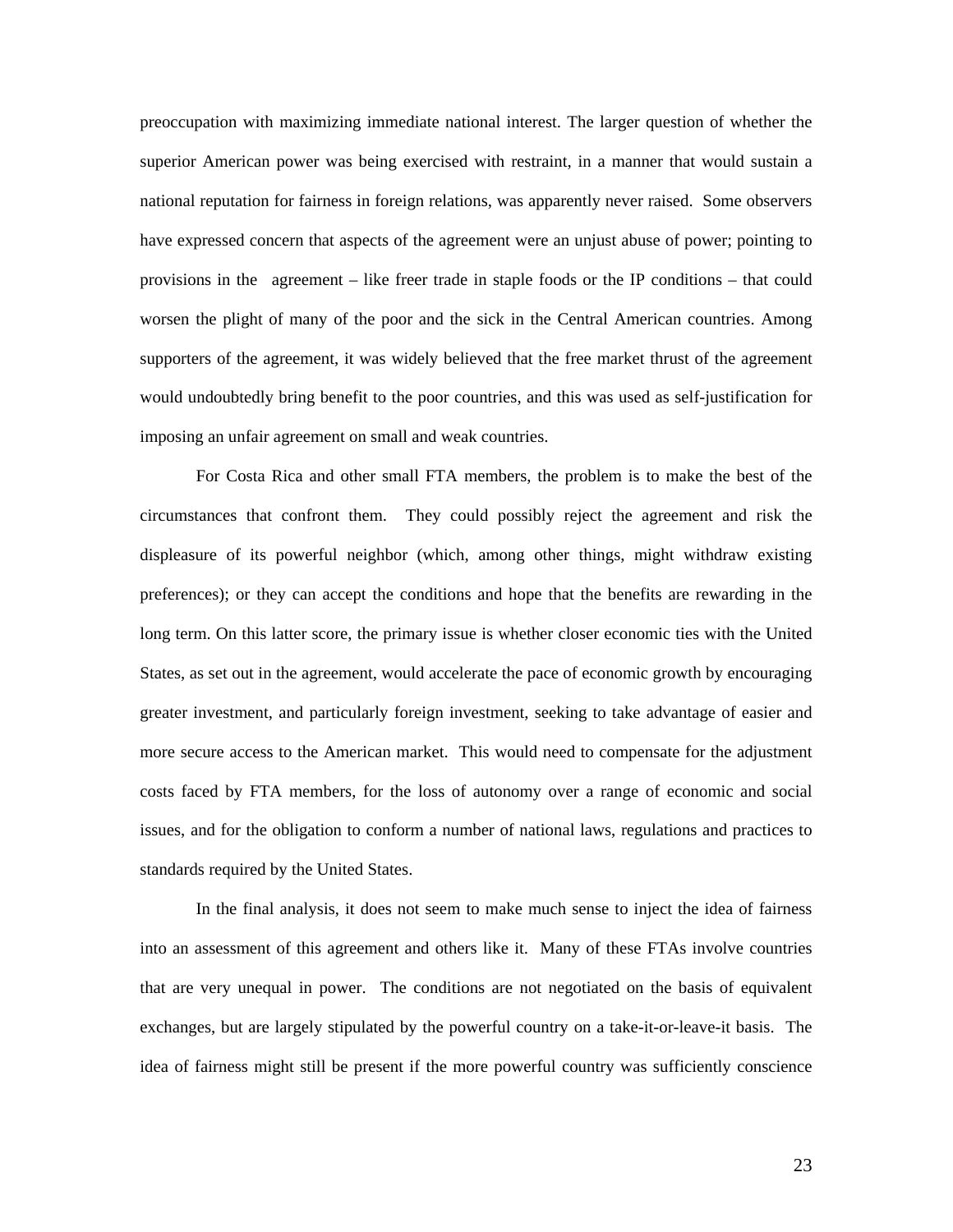preoccupation with maximizing immediate national interest. The larger question of whether the superior American power was being exercised with restraint, in a manner that would sustain a national reputation for fairness in foreign relations, was apparently never raised. Some observers have expressed concern that aspects of the agreement were an unjust abuse of power; pointing to provisions in the agreement – like freer trade in staple foods or the IP conditions – that could worsen the plight of many of the poor and the sick in the Central American countries. Among supporters of the agreement, it was widely believed that the free market thrust of the agreement would undoubtedly bring benefit to the poor countries, and this was used as self-justification for imposing an unfair agreement on small and weak countries.

For Costa Rica and other small FTA members, the problem is to make the best of the circumstances that confront them. They could possibly reject the agreement and risk the displeasure of its powerful neighbor (which, among other things, might withdraw existing preferences); or they can accept the conditions and hope that the benefits are rewarding in the long term. On this latter score, the primary issue is whether closer economic ties with the United States, as set out in the agreement, would accelerate the pace of economic growth by encouraging greater investment, and particularly foreign investment, seeking to take advantage of easier and more secure access to the American market. This would need to compensate for the adjustment costs faced by FTA members, for the loss of autonomy over a range of economic and social issues, and for the obligation to conform a number of national laws, regulations and practices to standards required by the United States.

In the final analysis, it does not seem to make much sense to inject the idea of fairness into an assessment of this agreement and others like it. Many of these FTAs involve countries that are very unequal in power. The conditions are not negotiated on the basis of equivalent exchanges, but are largely stipulated by the powerful country on a take-it-or-leave-it basis. The idea of fairness might still be present if the more powerful country was sufficiently conscience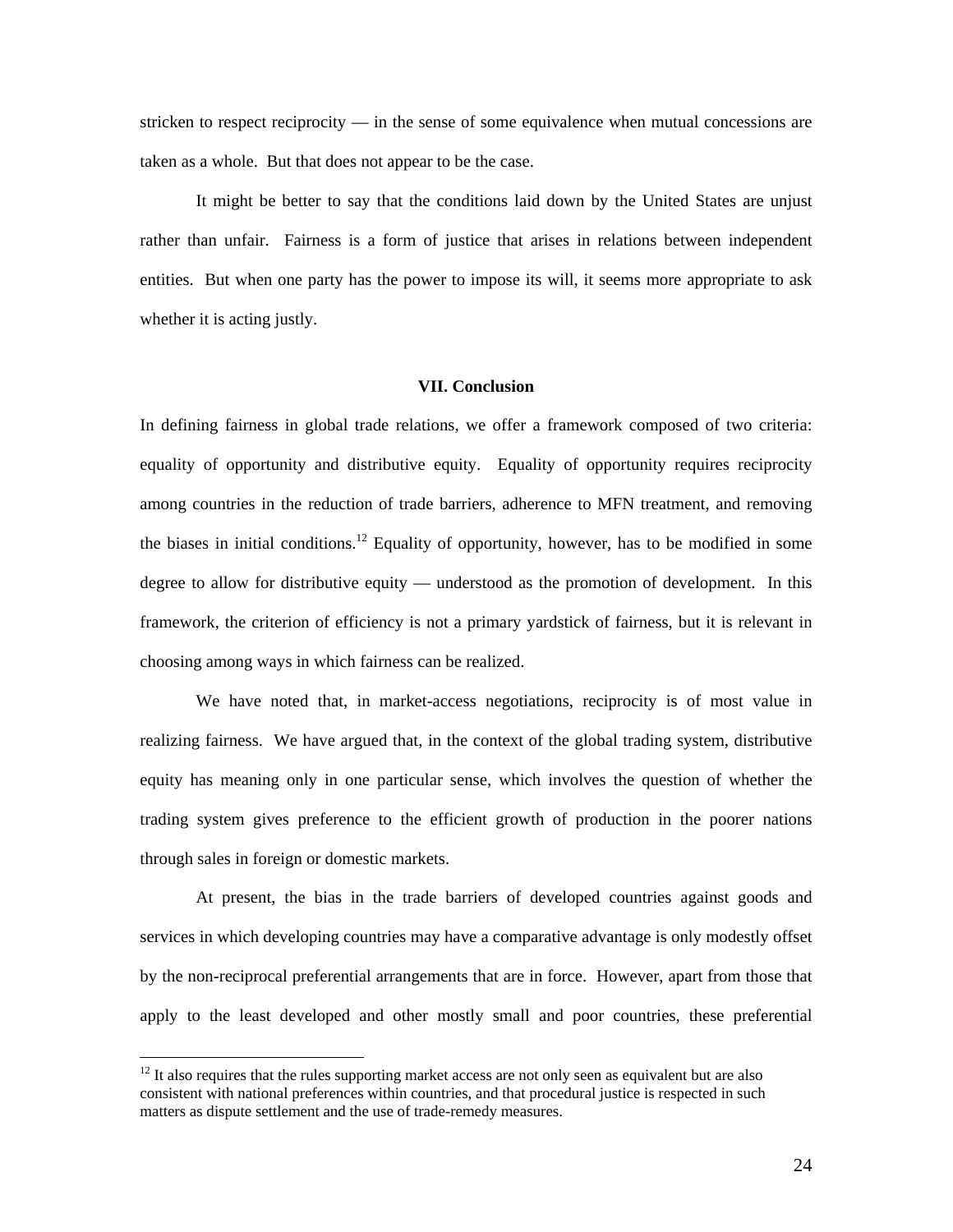stricken to respect reciprocity — in the sense of some equivalence when mutual concessions are taken as a whole. But that does not appear to be the case.

It might be better to say that the conditions laid down by the United States are unjust rather than unfair. Fairness is a form of justice that arises in relations between independent entities. But when one party has the power to impose its will, it seems more appropriate to ask whether it is acting justly.

## **VII. Conclusion**

In defining fairness in global trade relations, we offer a framework composed of two criteria: equality of opportunity and distributive equity. Equality of opportunity requires reciprocity among countries in the reduction of trade barriers, adherence to MFN treatment, and removing the biases in initial conditions.<sup>12</sup> Equality of opportunity, however, has to be modified in some degree to allow for distributive equity — understood as the promotion of development. In this framework, the criterion of efficiency is not a primary yardstick of fairness, but it is relevant in choosing among ways in which fairness can be realized.

We have noted that, in market-access negotiations, reciprocity is of most value in realizing fairness. We have argued that, in the context of the global trading system, distributive equity has meaning only in one particular sense, which involves the question of whether the trading system gives preference to the efficient growth of production in the poorer nations through sales in foreign or domestic markets.

At present, the bias in the trade barriers of developed countries against goods and services in which developing countries may have a comparative advantage is only modestly offset by the non-reciprocal preferential arrangements that are in force. However, apart from those that apply to the least developed and other mostly small and poor countries, these preferential

 $\overline{a}$ 

<span id="page-25-0"></span><sup>&</sup>lt;sup>12</sup> It also requires that the rules supporting market access are not only seen as equivalent but are also consistent with national preferences within countries, and that procedural justice is respected in such matters as dispute settlement and the use of trade-remedy measures.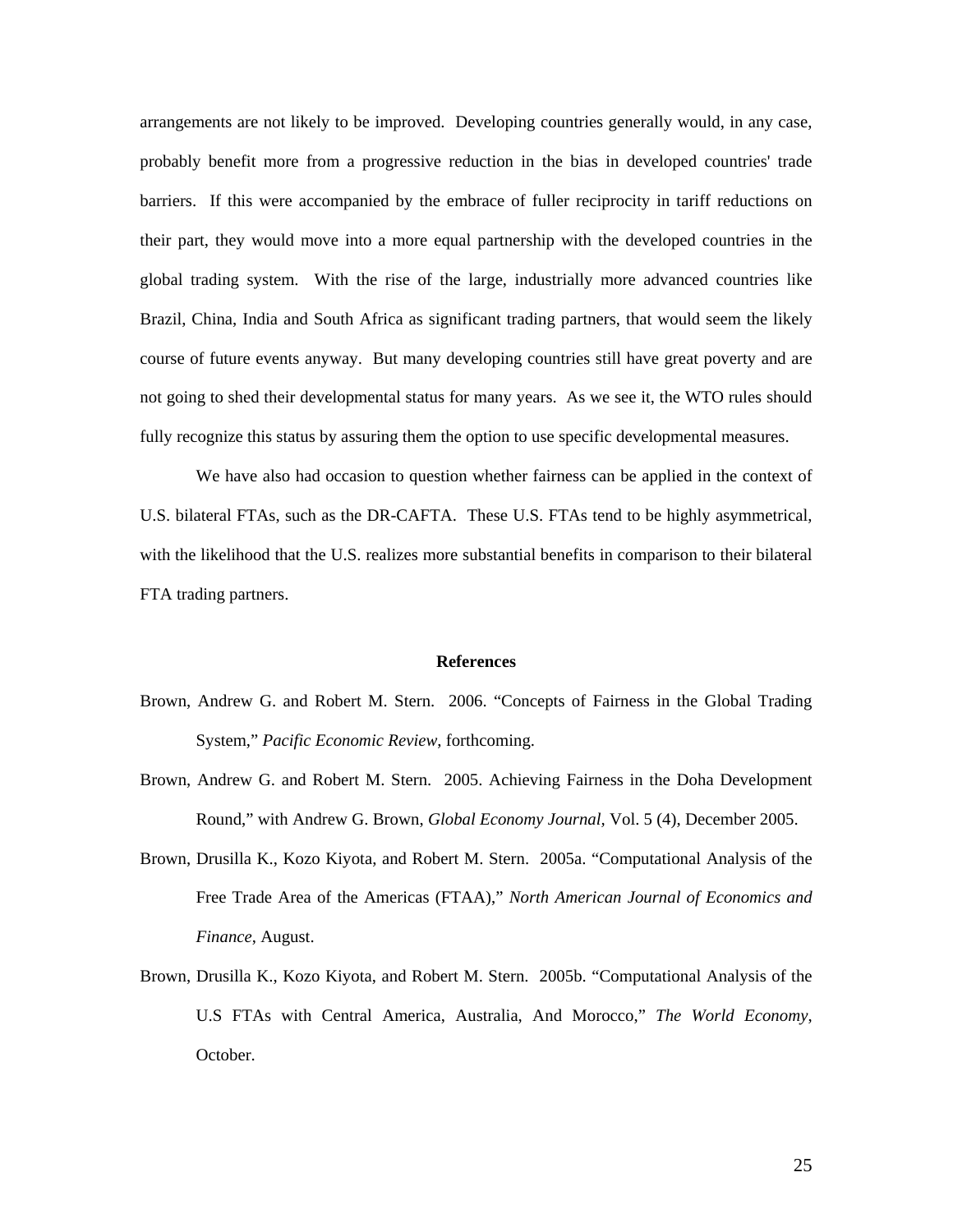arrangements are not likely to be improved. Developing countries generally would, in any case, probably benefit more from a progressive reduction in the bias in developed countries' trade barriers. If this were accompanied by the embrace of fuller reciprocity in tariff reductions on their part, they would move into a more equal partnership with the developed countries in the global trading system. With the rise of the large, industrially more advanced countries like Brazil, China, India and South Africa as significant trading partners, that would seem the likely course of future events anyway. But many developing countries still have great poverty and are not going to shed their developmental status for many years. As we see it, the WTO rules should fully recognize this status by assuring them the option to use specific developmental measures.

We have also had occasion to question whether fairness can be applied in the context of U.S. bilateral FTAs, such as the DR-CAFTA. These U.S. FTAs tend to be highly asymmetrical, with the likelihood that the U.S. realizes more substantial benefits in comparison to their bilateral FTA trading partners.

#### **References**

- Brown, Andrew G. and Robert M. Stern. 2006. "Concepts of Fairness in the Global Trading System," *Pacific Economic Review*, forthcoming.
- Brown, Andrew G. and Robert M. Stern. 2005. Achieving Fairness in the Doha Development Round," with Andrew G. Brown, *Global Economy Journal,* Vol. 5 (4), December 2005.
- Brown, Drusilla K., Kozo Kiyota, and Robert M. Stern. 2005a. "Computational Analysis of the Free Trade Area of the Americas (FTAA)," *North American Journal of Economics and Finance*, August.
- Brown, Drusilla K., Kozo Kiyota, and Robert M. Stern. 2005b. "Computational Analysis of the U.S FTAs with Central America, Australia, And Morocco," *The World Economy*, October.